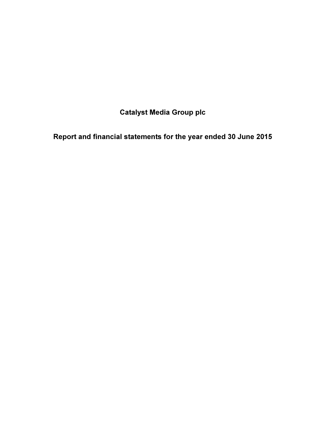Catalyst Media Group plc

Report and financial statements for the year ended 30 June 2015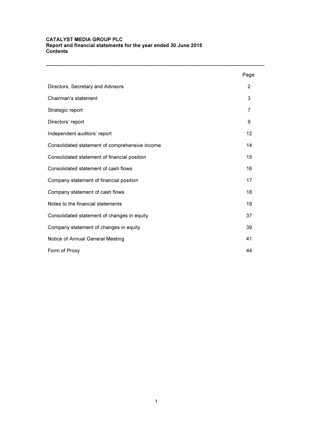#### CATALYST MEDIA GROUP PLC Report and financial statements for the year ended 30 June 2015 Contents

|                                                | Page:          |
|------------------------------------------------|----------------|
| Directors, Secretary and Advisors              | $\overline{2}$ |
| Chairman's statement                           | 3              |
| Strategic report                               | $\overline{7}$ |
| Directors' report                              | 9              |
| Independent auditors' report                   | 12             |
| Consolidated statement of comprehensive income | 14             |
| Consolidated statement of financial position   | 15             |
| Consolidated statement of cash flows           | 16             |
| Company statement of financial position        | 17             |
| Company statement of cash flows                | 18             |
| Notes to the financial statements              | 19             |
| Consolidated statement of changes in equity    | 37             |
| Company statement of changes in equity         | 39             |
| Notice of Annual General Meeting               | 41             |
| Form of Proxy                                  | 44             |

\_\_\_\_\_\_\_\_\_\_\_\_\_\_\_\_\_\_\_\_\_\_\_\_\_\_\_\_\_\_\_\_\_\_\_\_\_\_\_\_\_\_\_\_\_\_\_\_\_\_\_\_\_\_\_\_\_\_\_\_\_\_\_\_\_\_\_\_\_\_\_\_\_\_\_\_\_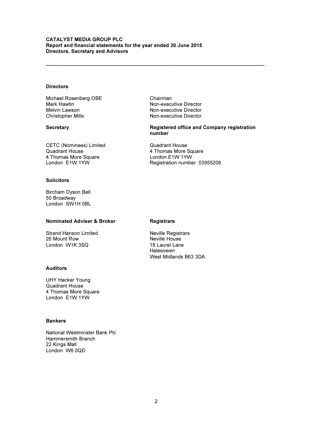#### CATALYST MEDIA GROUP PLC Report and financial statements for the year ended 30 June 2015 Directors, Secretary and Advisors

#### **Directors**

Michael Rosenberg OBE Chairman Mark Hawtin Non-executive Director Melvin Lawson Non-executive Director

Christopher Mills **Non-executive Director** 

\_\_\_\_\_\_\_\_\_\_\_\_\_\_\_\_\_\_\_\_\_\_\_\_\_\_\_\_\_\_\_\_\_\_\_\_\_\_\_\_\_\_\_\_\_\_\_\_\_\_\_\_\_\_\_\_\_\_\_\_\_\_\_\_\_\_\_\_\_\_\_\_\_\_\_\_\_

Secretary Registered office and Company registration number

CETC (Nominees) Limited Quadrant House Quadrant House<br>
4 Thomas More Square<br>
4 Thomas More Square<br>
4 Thomas More Square<br>
1990 - Condon E1W 1YW 4 Thomas More Square London E1W 1YW

Registration number: 03955206

#### **Solicitors**

Bircham Dyson Bell 50 Broadway London SW1H 0BL

#### Nominated Adviser & Broker Registrars

Strand Hanson Limited **Neville Registrars**<br>
26 Mount Row **Neville House** London W1K 3SQ

#### Auditors

UHY Hacker Young Quadrant House 4 Thomas More Square London E1W 1YW

#### Bankers

National Westminster Bank Plc Hammersmith Branch 22 Kings Mall London W6 0QD

Neville House<br>18 Laurel Lane Halesowen West Midlands B63 3DA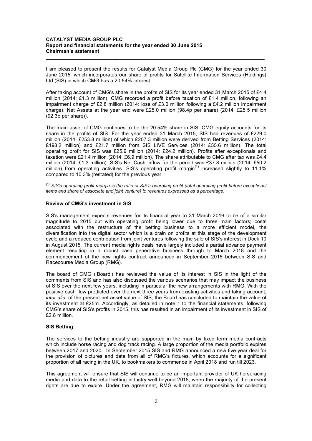#### CATALYST MEDIA GROUP PLC Report and financial statements for the year ended 30 June 2015 Chairman's statement

I am pleased to present the results for Catalyst Media Group Plc (CMG) for the year ended 30 June 2015, which incorporates our share of profits for Satellite Information Services (Holdings) Ltd (SIS) in which CMG has a 20.54% interest.

\_\_\_\_\_\_\_\_\_\_\_\_\_\_\_\_\_\_\_\_\_\_\_\_\_\_\_\_\_\_\_\_\_\_\_\_\_\_\_\_\_\_\_\_\_\_\_\_\_\_\_\_\_\_\_\_\_\_\_\_\_\_\_\_\_\_\_\_\_\_\_\_\_\_\_\_\_

After taking account of CMG's share in the profits of SIS for its year ended 31 March 2015 of £4.4 million (2014: £1.3 million), CMG recorded a profit before taxation of £1.4 million, following an impairment charge of £2.8 million (2014: loss of £3.0 million following a £4.2 million impairment charge). Net Assets at the year end were £25.0 million (98.4p per share) (2014: £25.5 million (92.3p per share)).

The main asset of CMG continues to be the 20.54% share in SIS. CMG equity accounts for its share in the profits of SIS. For the year ended 31 March 2015, SIS had revenues of £229.0 million (2014: £253.8 million) of which £207.3 million were derived from Betting Services (2014: £198.2 million) and £21.7 million from SIS LIVE Services (2014: £55.6 million). The total operating profit for SIS was £25.9 million (2014: £24.2 million). Profits after exceptionals and taxation were £21.4 million (2014: £6.9 million). The share attributable to CMG after tax was £4.4 million (2014: £1.3 million). SIS's Net Cash inflow for the period was £37.8 million (2014: £50.2 million) from operating activities. SIS's operating profit margin<sup>(1)</sup> increased slightly to 11.1% compared to 10.3% (restated) for the previous year.

 $(1)$  SIS's operating profit margin is the ratio of SIS's operating profit (total operating profit before exceptional items and share of associate and joint venture) to revenues expressed as a percentage.

#### Review of CMG's investment in SIS

SIS's management expects revenues for its financial year to 31 March 2016 to be of a similar magnitude to 2015 but with operating profit being lower due to three main factors; costs associated with the restructure of the betting business to a more efficient model, the diversification into the digital sector which is a drain on profits at this stage of the development cycle and a reduced contribution from joint ventures following the sale of SIS's interest in Dock 10 in August 2015. The current media rights deals have largely included a partial advance payment element resulting in a robust cash generative business through to March 2018 and the commencement of the new rights contract announced in September 2015 between SIS and Racecourse Media Group (RMG).

The board of CMG ('Board') has reviewed the value of its interest in SIS in the light of the comments from SIS and has also discussed the various scenarios that may impact the business of SIS over the next few years, including in particular the new arrangements with RMG. With the positive cash flow predicted over the next three years from existing activities and taking account, inter alia, of the present net asset value of SIS, the Board has concluded to maintain the value of its investment at £25m. Accordingly, as detailed in note 1 to the financial statements, following CMG's share of SIS's profits in 2015, this has resulted in an impairment of its investment in SIS of £2.8 million.

#### SIS Betting

The services to the betting industry are supported in the main by fixed term media contracts which include horse racing and dog track racing. A large proportion of the media portfolio expires between 2017 and 2020. In September 2015 SIS and RMG announced a new five year deal for the provision of pictures and data from all of RMG's fixtures, which accounts for a significant proportion of all racing in the UK, to bookmakers to commence in April 2018 and run till 2023.

This agreement will ensure that SIS will continue to be an important provider of UK horseracing media and data to the retail betting industry well beyond 2018, when the majority of the present rights are due to expire. Under the agreement, RMG will maintain responsibility for collecting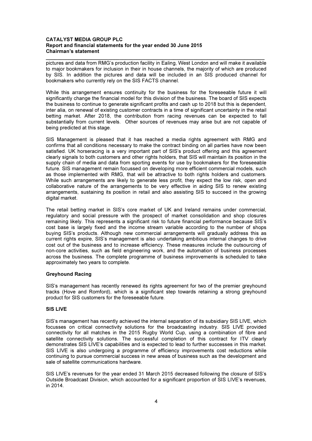#### CATALYST MEDIA GROUP PLC Report and financial statements for the year ended 30 June 2015 Chairman's statement

pictures and data from RMG's production facility in Ealing, West London and will make it available to major bookmakers for inclusion in their in house channels, the majority of which are produced by SIS. In addition the pictures and data will be included in an SIS produced channel for bookmakers who currently rely on the SIS FACTS channel.

\_\_\_\_\_\_\_\_\_\_\_\_\_\_\_\_\_\_\_\_\_\_\_\_\_\_\_\_\_\_\_\_\_\_\_\_\_\_\_\_\_\_\_\_\_\_\_\_\_\_\_\_\_\_\_\_\_\_\_\_\_\_\_\_\_\_\_\_\_\_\_\_\_\_\_\_\_

While this arrangement ensures continuity for the business for the foreseeable future it will significantly change the financial model for this division of the business. The board of SIS expects the business to continue to generate significant profits and cash up to 2018 but this is dependent, inter alia, on renewal of existing customer contracts in a time of significant uncertainty in the retail betting market. After 2018, the contribution from racing revenues can be expected to fall substantially from current levels. Other sources of revenues may arise but are not capable of being predicted at this stage.

SIS Management is pleased that it has reached a media rights agreement with RMG and confirms that all conditions necessary to make the contract binding on all parties have now been satisfied. UK horseracing is a very important part of SIS's product offering and this agreement clearly signals to both customers and other rights holders, that SIS will maintain its position in the supply chain of media and data from sporting events for use by bookmakers for the foreseeable future. SIS management remain focussed on developing more efficient commercial models, such as those implemented with RMG, that will be attractive to both rights holders and customers. While such arrangements are likely to generate less profit, they expect the low risk, open and collaborative nature of the arrangements to be very effective in aiding SIS to renew existing arrangements, sustaining its position in retail and also assisting SIS to succeed in the growing digital market.

The retail betting market in SIS's core market of UK and Ireland remains under commercial, regulatory and social pressure with the prospect of market consolidation and shop closures remaining likely. This represents a significant risk to future financial performance because SIS's cost base is largely fixed and the income stream variable according to the number of shops buying SIS's products. Although new commercial arrangements will gradually address this as current rights expire, SIS's management is also undertaking ambitious internal changes to drive cost out of the business and to increase efficiency. These measures include the outsourcing of non-core activities, such as field engineering work, and the automation of business processes across the business. The complete programme of business improvements is scheduled to take approximately two years to complete.

#### Greyhound Racing

SIS's management has recently renewed its rights agreement for two of the premier greyhound tracks (Hove and Romford), which is a significant step towards retaining a strong greyhound product for SIS customers for the foreseeable future.

#### SIS LIVE

SIS's management has recently achieved the internal separation of its subsidiary SIS LIVE, which focusses on critical connectivity solutions for the broadcasting industry. SIS LIVE provided connectivity for all matches in the 2015 Rugby World Cup, using a combination of fibre and satellite connectivity solutions. The successful completion of this contract for ITV clearly demonstrates SIS LIVE's capabilities and is expected to lead to further successes in this market. SIS LIVE is also undergoing a programme of efficiency improvements cost reductions while continuing to pursue commercial success in new areas of business such as the development and sale of satellite communications hardware.

SIS LIVE's revenues for the year ended 31 March 2015 decreased following the closure of SIS's Outside Broadcast Division, which accounted for a significant proportion of SIS LIVE's revenues, in 2014.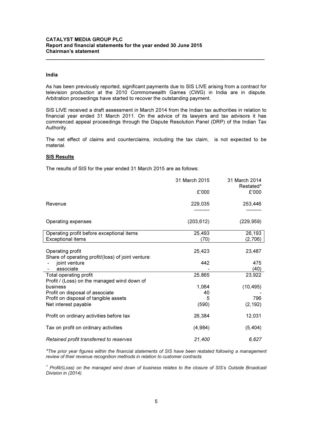#### India

As has been previously reported, significant payments due to SIS LIVE arising from a contract for television production at the 2010 Commonwealth Games (CWG) in India are in dispute. Arbitration proceedings have started to recover the outstanding payment.

\_\_\_\_\_\_\_\_\_\_\_\_\_\_\_\_\_\_\_\_\_\_\_\_\_\_\_\_\_\_\_\_\_\_\_\_\_\_\_\_\_\_\_\_\_\_\_\_\_\_\_\_\_\_\_\_\_\_\_\_\_\_\_\_\_\_\_\_\_\_\_\_\_\_\_\_\_

SIS LIVE received a draft assessment in March 2014 from the Indian tax authorities in relation to financial year ended 31 March 2011. On the advice of its lawyers and tax advisors it has commenced appeal proceedings through the Dispute Resolution Panel (DRP) of the Indian Tax Authority.

The net effect of claims and counterclaims, including the tax claim, is not expected to be material.

#### **SIS Results**

The results of SIS for the year ended 31 March 2015 are as follows:

|                                                                        | 31 March 2015<br>£'000 | 31 March 2014<br>Restated*<br>£'000 |
|------------------------------------------------------------------------|------------------------|-------------------------------------|
| Revenue                                                                | 229,035                | 253,446                             |
| Operating expenses                                                     | (203, 612)             | (229, 959)                          |
| Operating profit before exceptional items<br><b>Exceptional items</b>  | 25,493<br>(70)         | 26,193<br>(2,706)                   |
| Operating profit<br>Share of operating profit/(loss) of joint venture: | 25,423                 | 23,487                              |
| joint venture<br>associate                                             | 442                    | 475<br>(40)                         |
| Total operating profit<br>Profit / (Loss) on the managed wind down of  | 25,865                 | 23,922                              |
| business<br>Profit on disposal of associate                            | 1,064<br>40            | (10, 495)                           |
| Profit on disposal of tangible assets<br>Net interest payable          | 5<br>(590)             | 796<br>(2, 192)                     |
| Profit on ordinary activities before tax                               | 26,384                 | 12,031                              |
| Tax on profit on ordinary activities                                   | (4,984)                | (5, 404)                            |
| Retained profit transferred to reserves                                | 21,400                 | 6,627                               |

\*The prior year figures within the financial statements of SIS have been restated following a management review of their revenue recognition methods in relation to customer contracts.

+ Profit/(Loss) on the managed wind down of business relates to the closure of SIS's Outside Broadcast Division in (2014).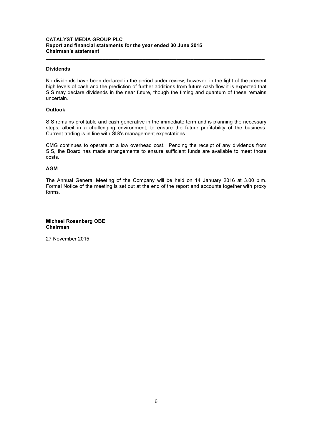#### CATALYST MEDIA GROUP PLC Report and financial statements for the year ended 30 June 2015 Chairman's statement

#### Dividends

No dividends have been declared in the period under review, however, in the light of the present high levels of cash and the prediction of further additions from future cash flow it is expected that SIS may declare dividends in the near future, though the timing and quantum of these remains uncertain.

\_\_\_\_\_\_\_\_\_\_\_\_\_\_\_\_\_\_\_\_\_\_\_\_\_\_\_\_\_\_\_\_\_\_\_\_\_\_\_\_\_\_\_\_\_\_\_\_\_\_\_\_\_\_\_\_\_\_\_\_\_\_\_\_\_\_\_\_\_\_\_\_\_\_\_\_\_

#### **Outlook**

SIS remains profitable and cash generative in the immediate term and is planning the necessary steps, albeit in a challenging environment, to ensure the future profitability of the business. Current trading is in line with SIS's management expectations.

CMG continues to operate at a low overhead cost. Pending the receipt of any dividends from SIS, the Board has made arrangements to ensure sufficient funds are available to meet those costs.

#### AGM

The Annual General Meeting of the Company will be held on 14 January 2016 at 3.00 p.m. Formal Notice of the meeting is set out at the end of the report and accounts together with proxy forms.

#### Michael Rosenberg OBE Chairman

27 November 2015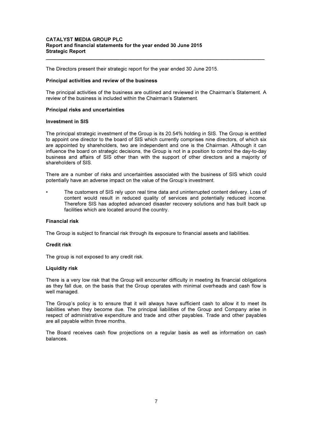#### CATALYST MEDIA GROUP PLC Report and financial statements for the year ended 30 June 2015 Strategic Report

The Directors present their strategic report for the year ended 30 June 2015.

#### Principal activities and review of the business

The principal activities of the business are outlined and reviewed in the Chairman's Statement. A review of the business is included within the Chairman's Statement.

\_\_\_\_\_\_\_\_\_\_\_\_\_\_\_\_\_\_\_\_\_\_\_\_\_\_\_\_\_\_\_\_\_\_\_\_\_\_\_\_\_\_\_\_\_\_\_\_\_\_\_\_\_\_\_\_\_\_\_\_\_\_\_\_\_\_\_\_\_\_\_\_\_\_\_\_\_

#### Principal risks and uncertainties

#### Investment in SIS

The principal strategic investment of the Group is its 20.54% holding in SIS. The Group is entitled to appoint one director to the board of SIS which currently comprises nine directors, of which six are appointed by shareholders, two are independent and one is the Chairman. Although it can influence the board on strategic decisions, the Group is not in a position to control the day-to-day business and affairs of SIS other than with the support of other directors and a majority of shareholders of SIS.

There are a number of risks and uncertainties associated with the business of SIS which could potentially have an adverse impact on the value of the Group's investment.

• The customers of SIS rely upon real time data and uninterrupted content delivery. Loss of content would result in reduced quality of services and potentially reduced income. Therefore SIS has adopted advanced disaster recovery solutions and has built back up facilities which are located around the country.

#### Financial risk

The Group is subject to financial risk through its exposure to financial assets and liabilities.

#### Credit risk

The group is not exposed to any credit risk.

#### Liquidity risk

There is a very low risk that the Group will encounter difficulty in meeting its financial obligations as they fall due, on the basis that the Group operates with minimal overheads and cash flow is well managed.

The Group's policy is to ensure that it will always have sufficient cash to allow it to meet its liabilities when they become due. The principal liabilities of the Group and Company arise in respect of administrative expenditure and trade and other payables. Trade and other payables are all payable within three months.

The Board receives cash flow projections on a regular basis as well as information on cash balances.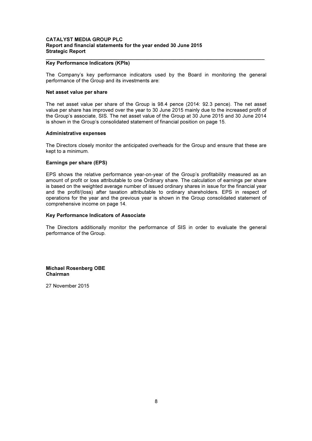#### CATALYST MEDIA GROUP PLC Report and financial statements for the year ended 30 June 2015 Strategic Report

#### \_\_\_\_\_\_\_\_\_\_\_\_\_\_\_\_\_\_\_\_\_\_\_\_\_\_\_\_\_\_\_\_\_\_\_\_\_\_\_\_\_\_\_\_\_\_\_\_\_\_\_\_\_\_\_\_\_\_\_\_\_\_\_\_\_\_\_\_\_\_\_\_\_\_\_\_\_ Key Performance Indicators (KPIs)

The Company's key performance indicators used by the Board in monitoring the general performance of the Group and its investments are:

#### Net asset value per share

The net asset value per share of the Group is 98.4 pence (2014: 92.3 pence). The net asset value per share has improved over the year to 30 June 2015 mainly due to the increased profit of the Group's associate, SIS. The net asset value of the Group at 30 June 2015 and 30 June 2014 is shown in the Group's consolidated statement of financial position on page 15.

#### Administrative expenses

The Directors closely monitor the anticipated overheads for the Group and ensure that these are kept to a minimum.

#### Earnings per share (EPS)

EPS shows the relative performance year-on-year of the Group's profitability measured as an amount of profit or loss attributable to one Ordinary share. The calculation of earnings per share is based on the weighted average number of issued ordinary shares in issue for the financial year and the profit/(loss) after taxation attributable to ordinary shareholders. EPS in respect of operations for the year and the previous year is shown in the Group consolidated statement of comprehensive income on page 14.

#### Key Performance Indicators of Associate

The Directors additionally monitor the performance of SIS in order to evaluate the general performance of the Group.

Michael Rosenberg OBE Chairman

27 November 2015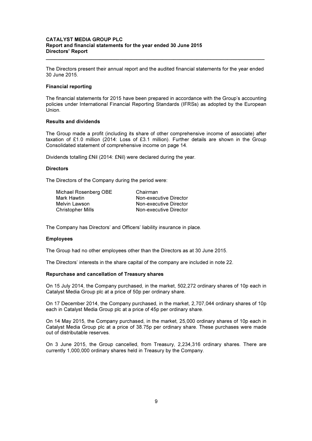#### CATALYST MEDIA GROUP PLC Report and financial statements for the year ended 30 June 2015 Directors' Report

The Directors present their annual report and the audited financial statements for the year ended 30 June 2015.

\_\_\_\_\_\_\_\_\_\_\_\_\_\_\_\_\_\_\_\_\_\_\_\_\_\_\_\_\_\_\_\_\_\_\_\_\_\_\_\_\_\_\_\_\_\_\_\_\_\_\_\_\_\_\_\_\_\_\_\_\_\_\_\_\_\_\_\_\_\_\_\_\_\_\_\_\_

#### Financial reporting

The financial statements for 2015 have been prepared in accordance with the Group's accounting policies under International Financial Reporting Standards (IFRSs) as adopted by the European Union.

#### Results and dividends

The Group made a profit (including its share of other comprehensive income of associate) after taxation of £1.0 million (2014: Loss of £3.1 million). Further details are shown in the Group Consolidated statement of comprehensive income on page 14.

Dividends totalling £Nil (2014: £Nil) were declared during the year.

#### **Directors**

The Directors of the Company during the period were:

| Chairman               |
|------------------------|
| Non-executive Director |
| Non-executive Director |
| Non-executive Director |
|                        |

The Company has Directors' and Officers' liability insurance in place.

#### Employees

The Group had no other employees other than the Directors as at 30 June 2015.

The Directors' interests in the share capital of the company are included in note 22.

#### Repurchase and cancellation of Treasury shares

On 15 July 2014, the Company purchased, in the market, 502,272 ordinary shares of 10p each in Catalyst Media Group plc at a price of 50p per ordinary share.

On 17 December 2014, the Company purchased, in the market, 2,707,044 ordinary shares of 10p each in Catalyst Media Group plc at a price of 45p per ordinary share.

On 14 May 2015, the Company purchased, in the market, 25,000 ordinary shares of 10p each in Catalyst Media Group plc at a price of 38.75p per ordinary share. These purchases were made out of distributable reserves.

On 3 June 2015, the Group cancelled, from Treasury, 2,234,316 ordinary shares. There are currently 1,000,000 ordinary shares held in Treasury by the Company.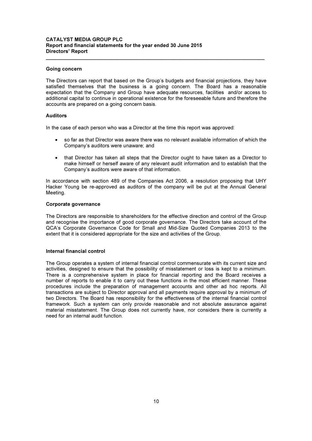#### CATALYST MEDIA GROUP PLC Report and financial statements for the year ended 30 June 2015 Directors' Report

#### Going concern

The Directors can report that based on the Group's budgets and financial projections, they have satisfied themselves that the business is a going concern. The Board has a reasonable expectation that the Company and Group have adequate resources, facilities and/or access to additional capital to continue in operational existence for the foreseeable future and therefore the accounts are prepared on a going concern basis.

\_\_\_\_\_\_\_\_\_\_\_\_\_\_\_\_\_\_\_\_\_\_\_\_\_\_\_\_\_\_\_\_\_\_\_\_\_\_\_\_\_\_\_\_\_\_\_\_\_\_\_\_\_\_\_\_\_\_\_\_\_\_\_\_\_\_\_\_\_\_\_\_\_\_\_\_\_

#### Auditors

In the case of each person who was a Director at the time this report was approved:

- so far as that Director was aware there was no relevant available information of which the Company's auditors were unaware; and
- that Director has taken all steps that the Director ought to have taken as a Director to make himself or herself aware of any relevant audit information and to establish that the Company's auditors were aware of that information.

In accordance with section 489 of the Companies Act 2006, a resolution proposing that UHY Hacker Young be re-approved as auditors of the company will be put at the Annual General Meeting.

#### Corporate governance

The Directors are responsible to shareholders for the effective direction and control of the Group and recognise the importance of good corporate governance. The Directors take account of the QCA's Corporate Governance Code for Small and Mid-Size Quoted Companies 2013 to the extent that it is considered appropriate for the size and activities of the Group.

#### Internal financial control

The Group operates a system of internal financial control commensurate with its current size and activities, designed to ensure that the possibility of misstatement or loss is kept to a minimum. There is a comprehensive system in place for financial reporting and the Board receives a number of reports to enable it to carry out these functions in the most efficient manner. These procedures include the preparation of management accounts and other ad hoc reports. All transactions are subject to Director approval and all payments require approval by a minimum of two Directors. The Board has responsibility for the effectiveness of the internal financial control framework. Such a system can only provide reasonable and not absolute assurance against material misstatement. The Group does not currently have, nor considers there is currently a need for an internal audit function.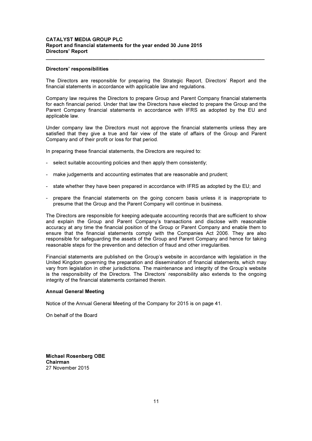#### CATALYST MEDIA GROUP PLC Report and financial statements for the year ended 30 June 2015 Directors' Report

#### Directors' responsibilities

The Directors are responsible for preparing the Strategic Report, Directors' Report and the financial statements in accordance with applicable law and regulations.

\_\_\_\_\_\_\_\_\_\_\_\_\_\_\_\_\_\_\_\_\_\_\_\_\_\_\_\_\_\_\_\_\_\_\_\_\_\_\_\_\_\_\_\_\_\_\_\_\_\_\_\_\_\_\_\_\_\_\_\_\_\_\_\_\_\_\_\_\_\_\_\_\_\_\_\_\_

Company law requires the Directors to prepare Group and Parent Company financial statements for each financial period. Under that law the Directors have elected to prepare the Group and the Parent Company financial statements in accordance with IFRS as adopted by the EU and applicable law.

Under company law the Directors must not approve the financial statements unless they are satisfied that they give a true and fair view of the state of affairs of the Group and Parent Company and of their profit or loss for that period.

In preparing these financial statements, the Directors are required to:

- select suitable accounting policies and then apply them consistently;
- make judgements and accounting estimates that are reasonable and prudent;
- state whether they have been prepared in accordance with IFRS as adopted by the EU; and
- prepare the financial statements on the going concern basis unless it is inappropriate to presume that the Group and the Parent Company will continue in business.

The Directors are responsible for keeping adequate accounting records that are sufficient to show and explain the Group and Parent Company's transactions and disclose with reasonable accuracy at any time the financial position of the Group or Parent Company and enable them to ensure that the financial statements comply with the Companies Act 2006. They are also responsible for safeguarding the assets of the Group and Parent Company and hence for taking reasonable steps for the prevention and detection of fraud and other irregularities.

Financial statements are published on the Group's website in accordance with legislation in the United Kingdom governing the preparation and dissemination of financial statements, which may vary from legislation in other jurisdictions. The maintenance and integrity of the Group's website is the responsibility of the Directors. The Directors' responsibility also extends to the ongoing integrity of the financial statements contained therein.

#### Annual General Meeting

Notice of the Annual General Meeting of the Company for 2015 is on page 41.

On behalf of the Board

Michael Rosenberg OBE Chairman 27 November 2015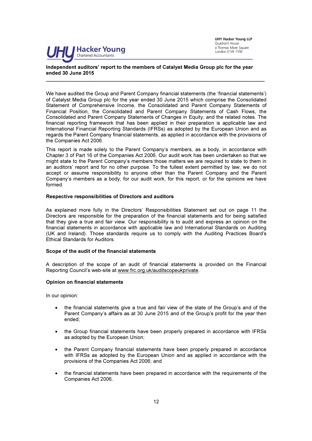

UHY Hacker Young LLP Quadrant House 4 Thomas More Square London E1W 1YW

#### Independent auditors' report to the members of Catalyst Media Group plc for the year ended 30 June 2015

We have audited the Group and Parent Company financial statements (the 'financial statements') of Catalyst Media Group plc for the year ended 30 June 2015 which comprise the Consolidated Statement of Comprehensive Income, the Consolidated and Parent Company Statements of Financial Position, the Consolidated and Parent Company Statements of Cash Flows, the Consolidated and Parent Company Statements of Changes in Equity, and the related notes. The financial reporting framework that has been applied in their preparation is applicable law and International Financial Reporting Standards (IFRSs) as adopted by the European Union and as regards the Parent Company financial statements, as applied in accordance with the provisions of the Companies Act 2006.

\_\_\_\_\_\_\_\_\_\_\_\_\_\_\_\_\_\_\_\_\_\_\_\_\_\_\_\_\_\_\_\_\_\_\_\_\_\_\_\_\_\_\_\_\_\_\_\_\_\_\_\_\_\_\_\_\_\_\_\_\_\_\_\_\_\_\_\_\_\_\_\_\_\_\_\_\_

This report is made solely to the Parent Company's members, as a body, in accordance with Chapter 3 of Part 16 of the Companies Act 2006. Our audit work has been undertaken so that we might state to the Parent Company's members those matters we are required to state to them in an auditors' report and for no other purpose. To the fullest extent permitted by law, we do not accept or assume responsibility to anyone other than the Parent Company and the Parent Company's members as a body, for our audit work, for this report, or for the opinions we have formed.

#### Respective responsibilities of Directors and auditors

As explained more fully in the Directors' Responsibilities Statement set out on page 11 the Directors are responsible for the preparation of the financial statements and for being satisfied that they give a true and fair view. Our responsibility is to audit and express an opinion on the financial statements in accordance with applicable law and International Standards on Auditing (UK and Ireland). Those standards require us to comply with the Auditing Practices Board's Ethical Standards for Auditors.

#### Scope of the audit of the financial statements

A description of the scope of an audit of financial statements is provided on the Financial Reporting Council's web-site at www.frc.org.uk/auditscopeukprivate.

#### Opinion on financial statements

In our opinion:

- the financial statements give a true and fair view of the state of the Group's and of the Parent Company's affairs as at 30 June 2015 and of the Group's profit for the year then ended;
- the Group financial statements have been properly prepared in accordance with IFRSs as adopted by the European Union;
- the Parent Company financial statements have been properly prepared in accordance with IFRSs as adopted by the European Union and as applied in accordance with the provisions of the Companies Act 2006; and
- the financial statements have been prepared in accordance with the requirements of the Companies Act 2006.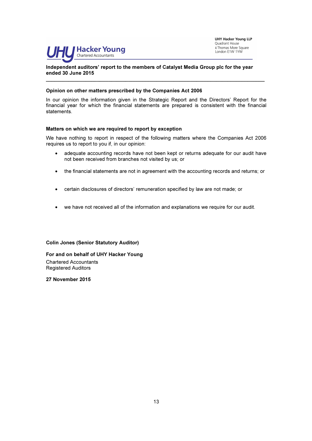

UHY Hacker Young LLP Quadrant House 4 Thomas More Square London E1W 1YW

#### Independent auditors' report to the members of Catalyst Media Group plc for the year ended 30 June 2015

#### Opinion on other matters prescribed by the Companies Act 2006

In our opinion the information given in the Strategic Report and the Directors' Report for the financial year for which the financial statements are prepared is consistent with the financial statements.

\_\_\_\_\_\_\_\_\_\_\_\_\_\_\_\_\_\_\_\_\_\_\_\_\_\_\_\_\_\_\_\_\_\_\_\_\_\_\_\_\_\_\_\_\_\_\_\_\_\_\_\_\_\_\_\_\_\_\_\_\_\_\_\_\_\_\_\_\_\_\_\_\_\_\_\_\_

#### Matters on which we are required to report by exception

We have nothing to report in respect of the following matters where the Companies Act 2006 requires us to report to you if, in our opinion:

- adequate accounting records have not been kept or returns adequate for our audit have not been received from branches not visited by us; or
- the financial statements are not in agreement with the accounting records and returns; or
- certain disclosures of directors' remuneration specified by law are not made; or
- we have not received all of the information and explanations we require for our audit.

Colin Jones (Senior Statutory Auditor)

For and on behalf of UHY Hacker Young Chartered Accountants Registered Auditors

27 November 2015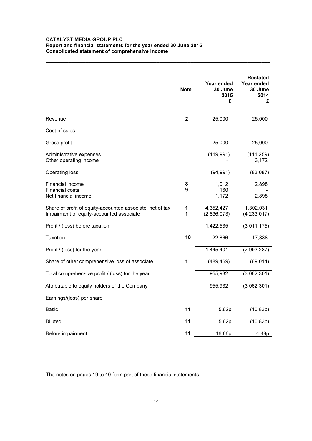#### CATALYST MEDIA GROUP PLC Report and financial statements for the year ended 30 June 2015 Consolidated statement of comprehensive income

|                                                                                                       | <b>Note</b>    | Year ended<br>30 June<br>2015<br>£ | <b>Restated</b><br>Year ended<br>30 June<br>2014<br>£ |
|-------------------------------------------------------------------------------------------------------|----------------|------------------------------------|-------------------------------------------------------|
| Revenue                                                                                               | $\overline{2}$ | 25,000                             | 25,000                                                |
| Cost of sales                                                                                         |                |                                    |                                                       |
| Gross profit                                                                                          |                | 25,000                             | 25,000                                                |
| Administrative expenses<br>Other operating income                                                     |                | (119, 991)                         | (111, 259)<br>3,172                                   |
| Operating loss                                                                                        |                | (94, 991)                          | (83,087)                                              |
| Financial income<br><b>Financial costs</b><br>Net financial income                                    | 8<br>9         | 1,012<br>160<br>1,172              | 2,898<br>2,898                                        |
| Share of profit of equity-accounted associate, net of tax<br>Impairment of equity-accounted associate | 1<br>1         | 4,352,427<br>(2,836,073)           | 1,302,031<br>(4, 233, 017)                            |
| Profit / (loss) before taxation                                                                       |                | 1,422,535                          | (3,011,175)                                           |
| Taxation                                                                                              | 10             | 22,866                             | 17,888                                                |
| Profit / (loss) for the year                                                                          |                | 1,445,401                          | (2,993,287)                                           |
| Share of other comprehensive loss of associate                                                        | 1              | (489, 469)                         | (69, 014)                                             |
| Total comprehensive profit / (loss) for the year                                                      |                | 955,932                            | (3,062,301)                                           |
| Attributable to equity holders of the Company                                                         |                | 955,932                            | (3,062,301)                                           |
| Earnings/(loss) per share:                                                                            |                |                                    |                                                       |
| <b>Basic</b>                                                                                          | 11             | 5.62p                              | (10.83p)                                              |
| <b>Diluted</b>                                                                                        | 11             | 5.62p                              | (10.83p)                                              |
| Before impairment                                                                                     | 11             | 16.66p                             | 4.48p                                                 |

\_\_\_\_\_\_\_\_\_\_\_\_\_\_\_\_\_\_\_\_\_\_\_\_\_\_\_\_\_\_\_\_\_\_\_\_\_\_\_\_\_\_\_\_\_\_\_\_\_\_\_\_\_\_\_\_\_\_\_\_\_\_\_\_\_\_\_\_\_\_\_\_\_\_\_\_\_\_\_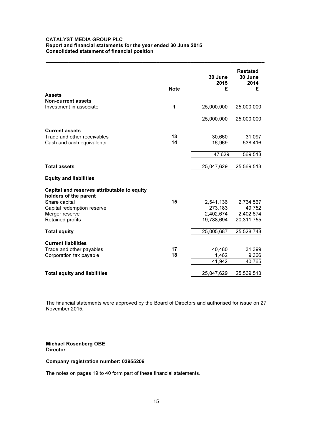#### CATALYST MEDIA GROUP PLC Report and financial statements for the year ended 30 June 2015 Consolidated statement of financial position

|                                                                      | <b>Note</b> | 30 June<br>2015<br>£ | <b>Restated</b><br>30 June<br>2014<br>£ |
|----------------------------------------------------------------------|-------------|----------------------|-----------------------------------------|
| <b>Assets</b>                                                        |             |                      |                                         |
| <b>Non-current assets</b>                                            |             |                      |                                         |
| Investment in associate                                              | 1           | 25,000,000           | 25,000,000                              |
|                                                                      |             | 25,000,000           | 25,000,000                              |
| <b>Current assets</b>                                                |             |                      |                                         |
| Trade and other receivables                                          | 13          | 30,660               | 31,097                                  |
| Cash and cash equivalents                                            | 14          | 16,969               | 538,416                                 |
|                                                                      |             | 47,629               | 569,513                                 |
| <b>Total assets</b>                                                  |             | 25,047,629           | 25,569,513                              |
| <b>Equity and liabilities</b>                                        |             |                      |                                         |
| Capital and reserves attributable to equity<br>holders of the parent |             |                      |                                         |
| Share capital                                                        | 15          | 2,541,136            | 2,764,567                               |
| Capital redemption reserve                                           |             | 273,183              | 49,752                                  |
| Merger reserve                                                       |             | 2,402,674            | 2,402,674                               |
| Retained profits                                                     |             | 19,788,694           | 20,311,755                              |
| <b>Total equity</b>                                                  |             | 25,005,687           | 25,528,748                              |
| <b>Current liabilities</b>                                           |             |                      |                                         |
| Trade and other payables                                             | 17          | 40,480               | 31,399                                  |
| Corporation tax payable                                              | 18          | 1,462                | 9,366                                   |
|                                                                      |             | 41,942               | 40,765                                  |
| <b>Total equity and liabilities</b>                                  |             | 25,047,629           | 25,569,513                              |

\_\_\_\_\_\_\_\_\_\_\_\_\_\_\_\_\_\_\_\_\_\_\_\_\_\_\_\_\_\_\_\_\_\_\_\_\_\_\_\_\_\_\_\_\_\_\_\_\_\_\_\_\_\_\_\_\_\_\_\_\_\_\_\_\_\_\_\_\_\_\_\_\_\_\_\_\_

The financial statements were approved by the Board of Directors and authorised for issue on 27 November 2015.

#### Michael Rosenberg OBE **Director**

#### Company registration number: 03955206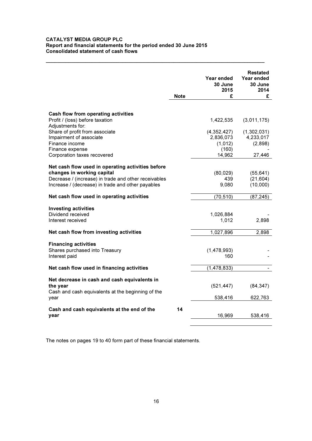#### CATALYST MEDIA GROUP PLC Report and financial statements for the period ended 30 June 2015 Consolidated statement of cash flows

|                                                                                                           | <b>Note</b> | Year ended<br>30 June<br>2015<br>£ | <b>Restated</b><br>Year ended<br>30 June<br>2014<br>£ |
|-----------------------------------------------------------------------------------------------------------|-------------|------------------------------------|-------------------------------------------------------|
|                                                                                                           |             |                                    |                                                       |
| Cash flow from operating activities<br>Profit / (loss) before taxation<br>Adjustments for:                |             | 1,422,535                          | (3,011,175)                                           |
| Share of profit from associate<br>Impairment of associate                                                 |             | (4,352,427)<br>2,836,073           | (1,302,031)<br>4,233,017                              |
| Finance income<br>Finance expense                                                                         |             | (1,012)<br>(160)                   | (2,898)                                               |
| Corporation taxes recovered                                                                               |             | 14,962                             | 27,446                                                |
| Net cash flow used in operating activities before<br>changes in working capital                           |             | (80, 029)                          | (55, 641)                                             |
| Decrease / (increase) in trade and other receivables<br>Increase / (decrease) in trade and other payables |             | 439<br>9,080                       | (21, 604)<br>(10,000)                                 |
| Net cash flow used in operating activities                                                                |             | (70, 510)                          | (87, 245)                                             |
| <b>Investing activities</b>                                                                               |             |                                    |                                                       |
| Dividend received                                                                                         |             | 1,026,884                          |                                                       |
| Interest received                                                                                         |             | 1,012                              | 2,898                                                 |
| Net cash flow from investing activities                                                                   |             | 1,027,896                          | 2,898                                                 |
| <b>Financing activities</b>                                                                               |             |                                    |                                                       |
| Shares purchased into Treasury                                                                            |             | (1,478,993)                        |                                                       |
| Interest paid                                                                                             |             | 160                                |                                                       |
| Net cash flow used in financing activities                                                                |             | (1, 478, 833)                      |                                                       |
| Net decrease in cash and cash equivalents in                                                              |             |                                    |                                                       |
| the year                                                                                                  |             | (521, 447)                         | (84, 347)                                             |
| Cash and cash equivalents at the beginning of the<br>year                                                 |             | 538,416                            | 622,763                                               |
|                                                                                                           | 14          |                                    |                                                       |
| Cash and cash equivalents at the end of the<br>year                                                       |             | 16,969                             | 538,416                                               |
|                                                                                                           |             |                                    |                                                       |

\_\_\_\_\_\_\_\_\_\_\_\_\_\_\_\_\_\_\_\_\_\_\_\_\_\_\_\_\_\_\_\_\_\_\_\_\_\_\_\_\_\_\_\_\_\_\_\_\_\_\_\_\_\_\_\_\_\_\_\_\_\_\_\_\_\_\_\_\_\_\_\_\_\_\_\_\_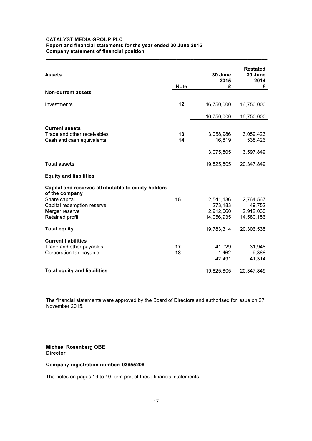#### CATALYST MEDIA GROUP PLC Report and financial statements for the year ended 30 June 2015 Company statement of financial position

| <b>Assets</b>                                                                                                                          | <b>Note</b> | 30 June<br>2015<br>£              | <b>Restated</b><br>30 June<br>2014<br>£ |
|----------------------------------------------------------------------------------------------------------------------------------------|-------------|-----------------------------------|-----------------------------------------|
| <b>Non-current assets</b>                                                                                                              |             |                                   |                                         |
| Investments                                                                                                                            | 12          | 16,750,000                        | 16,750,000                              |
|                                                                                                                                        |             | 16,750,000                        | 16,750,000                              |
| <b>Current assets</b><br>Trade and other receivables<br>Cash and cash equivalents                                                      | 13<br>14    | 3,058,986<br>16,819               | 3,059,423<br>538,426                    |
|                                                                                                                                        |             | 3,075,805                         | 3,597,849                               |
| <b>Total assets</b>                                                                                                                    |             | 19,825,805                        | 20,347,849                              |
| <b>Equity and liabilities</b>                                                                                                          |             |                                   |                                         |
| Capital and reserves attributable to equity holders<br>of the company<br>Share capital<br>Capital redemption reserve<br>Merger reserve | 15          | 2,541,136<br>273,183<br>2,912,060 | 2,764,567<br>49,752<br>2,912,060        |
| Retained profit                                                                                                                        |             | 14,056,935                        | 14,580,156                              |
| <b>Total equity</b>                                                                                                                    |             | 19,783,314                        | 20,306,535                              |
| <b>Current liabilities</b>                                                                                                             |             |                                   |                                         |
| Trade and other payables                                                                                                               | 17          | 41,029                            | 31,948                                  |
| Corporation tax payable                                                                                                                | 18          | 1,462<br>42,491                   | 9,366<br>41,314                         |
|                                                                                                                                        |             |                                   |                                         |
| <b>Total equity and liabilities</b>                                                                                                    |             | 19,825,805                        | 20,347,849                              |

 $\_$  , and the set of the set of the set of the set of the set of the set of the set of the set of the set of the set of the set of the set of the set of the set of the set of the set of the set of the set of the set of th

The financial statements were approved by the Board of Directors and authorised for issue on 27 November 2015.

#### Michael Rosenberg OBE **Director**

#### Company registration number: 03955206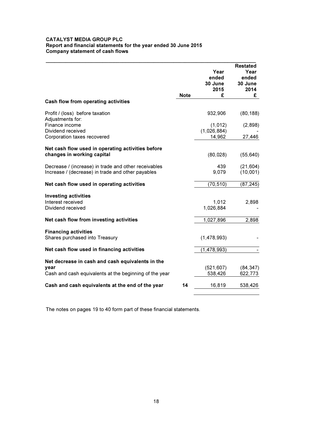#### CATALYST MEDIA GROUP PLC Report and financial statements for the year ended 30 June 2015 Company statement of cash flows

|                                                                                                           | <b>Note</b> | Year<br>ended<br>30 June<br>2015<br>£ | <b>Restated</b><br>Year<br>ended<br>30 June<br>2014<br>£ |
|-----------------------------------------------------------------------------------------------------------|-------------|---------------------------------------|----------------------------------------------------------|
| Cash flow from operating activities                                                                       |             |                                       |                                                          |
| Profit / (loss) before taxation<br>Adjustments for:                                                       |             | 932,906                               | (80, 188)                                                |
| Finance income<br>Dividend received                                                                       |             | (1, 012)<br>(1,026,884)               | (2,898)                                                  |
| Corporation taxes recovered                                                                               |             | 14,962                                | 27,446                                                   |
| Net cash flow used in operating activities before<br>changes in working capital                           |             | (80, 028)                             | (55, 640)                                                |
| Decrease / (increase) in trade and other receivables<br>Increase / (decrease) in trade and other payables |             | 439<br>9,079                          | (21, 604)<br>(10,001)                                    |
| Net cash flow used in operating activities                                                                |             | (70, 510)                             | (87, 245)                                                |
| <b>Investing activities</b><br>Interest received<br>Dividend received                                     |             | 1,012<br>1,026,884                    | 2,898                                                    |
| Net cash flow from investing activities                                                                   |             | 1,027,896                             | 2,898                                                    |
| <b>Financing activities</b><br>Shares purchased into Treasury                                             |             | (1,478,993)                           |                                                          |
| Net cash flow used in financing activities                                                                |             | (1,478,993)                           |                                                          |
| Net decrease in cash and cash equivalents in the                                                          |             |                                       |                                                          |
| year                                                                                                      |             | (521, 607)                            | (84, 347)                                                |
| Cash and cash equivalents at the beginning of the year                                                    |             | 538,426                               | 622,773                                                  |
| Cash and cash equivalents at the end of the year                                                          | 14          | 16,819                                | 538,426                                                  |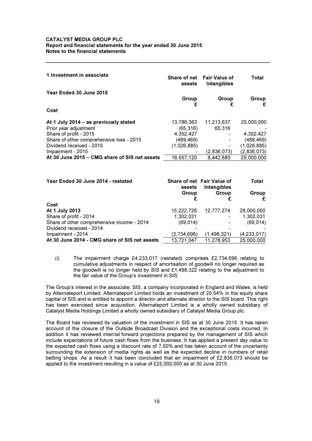| 1 Investment in associate                     | assets      | Share of net Fair Value of<br>Intangibles | Total       |
|-----------------------------------------------|-------------|-------------------------------------------|-------------|
| Year Ended 30 June 2015                       | Group<br>£  | Group<br>£                                | Group       |
| Cost                                          |             |                                           |             |
| At 1 July 2014 – as previously stated         | 13,786,363  | 11,213,637                                | 25.000.000  |
| Prior year adjustment                         | (65, 316)   | 65,316                                    |             |
| Share of profit - 2015                        | 4,352,427   |                                           | 4,352,427   |
| Share of other comprehensive loss - 2015      | (489, 469)  |                                           | (489,469)   |
| Dividend received - 2015                      | (1,026,885) |                                           | (1,026,885) |
| Impairment - 2015                             |             | (2,836,073)                               | (2,836,073) |
| At 30 June 2015 – CMG share of SIS net assets | 16,557,120  | 8,442,880                                 | 25,000,000  |

\_\_\_\_\_\_\_\_\_\_\_\_\_\_\_\_\_\_\_\_\_\_\_\_\_\_\_\_\_\_\_\_\_\_\_\_\_\_\_\_\_\_\_\_\_\_\_\_\_\_\_\_\_\_\_\_\_\_\_\_\_\_\_\_\_\_\_\_\_\_\_\_\_\_\_\_\_\_\_

| Year Ended 30 June 2014 - restated            | assets      | Share of net Fair Value of<br>Intangibles | Total       |
|-----------------------------------------------|-------------|-------------------------------------------|-------------|
|                                               | Group       | Group                                     | Group<br>£  |
| Cost                                          |             |                                           |             |
| At 1 July 2013                                | 15,222,726  | 12,777,274                                | 28,000,000  |
| Share of profit - 2014                        | 1,302,031   |                                           | 1,302,031   |
| Share of other comprehensive income - 2014    | (69, 014)   |                                           | (69, 014)   |
| Dividend received - 2014                      |             |                                           |             |
| Impairment - 2014                             | (2,734,696) | (1.498.321)                               | (4,233,017) |
| At 30 June 2014 - CMG share of SIS net assets | 13,721,047  | 11,278,953                                | 25,000,000  |

(i) The impairment charge £4,233,017 (restated) comprises £2,734,696 relating to cumulative adjustments in respect of amortisation of goodwill no longer required as the goodwill is no longer held by SIS and £1,498,322 relating to the adjustment to the fair value of the Group's investment in SIS.

The Group's interest in the associate, SIS, a company incorporated in England and Wales, is held by Alternateport Limited. Alternateport Limited holds an investment of 20.54% in the equity share capital of SIS and is entitled to appoint a director and alternate director to the SIS board. This right has been exercised since acquisition. Alternateport Limited is a wholly owned subsidiary of Catalyst Media Holdings Limited a wholly owned subsidiary of Catalyst Media Group plc.

The Board has reviewed its valuation of the investment in SIS as at 30 June 2015. It has taken account of the closure of the Outside Broadcast Division and the exceptional costs incurred. In addition it has reviewed internal forward projections prepared by the management of SIS which include expectations of future cash flows from the business. It has applied a present day value to the expected cash flows using a discount rate of 7.50% and has taken account of the uncertainty surrounding the extension of media rights as well as the expected decline in numbers of retail betting shops. As a result it has been concluded that an impairment of £2,836,073 should be applied to the investment resulting in a value of £25,000,000 as at 30 June 2015.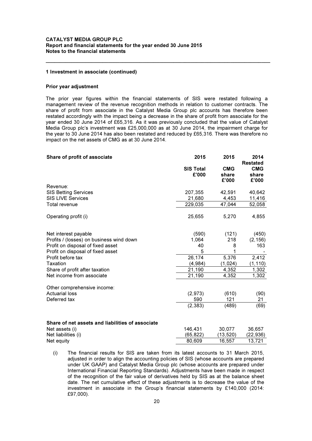#### 1 Investment in associate (continued)

#### Prior year adjustment

The prior year figures within the financial statements of SIS were restated following a management review of the revenue recognition methods in relation to customer contracts. The share of profit from associate in the Catalyst Media Group plc accounts has therefore been restated accordingly with the impact being a decrease in the share of profit from associate for the year ended 30 June 2014 of £65,316. As it was previously concluded that the value of Catalyst Media Group plc's investment was £25,000,000 as at 30 June 2014, the impairment charge for the year to 30 June 2014 has also been restated and reduced by £65,316. There was therefore no impact on the net assets of CMG as at 30 June 2014.

\_\_\_\_\_\_\_\_\_\_\_\_\_\_\_\_\_\_\_\_\_\_\_\_\_\_\_\_\_\_\_\_\_\_\_\_\_\_\_\_\_\_\_\_\_\_\_\_\_\_\_\_\_\_\_\_\_\_\_\_\_\_\_\_\_\_\_\_\_\_\_\_\_\_\_\_\_\_\_

| Share of profit of associate                            | 2015                      | 2015                         | 2014<br><b>Restated</b>      |
|---------------------------------------------------------|---------------------------|------------------------------|------------------------------|
|                                                         | <b>SIS Total</b><br>£'000 | <b>CMG</b><br>share<br>£'000 | <b>CMG</b><br>share<br>£'000 |
| Revenue:                                                |                           |                              |                              |
| <b>SIS Betting Services</b><br><b>SIS LIVE Services</b> | 207,355<br>21,680         | 42,591<br>4,453              | 40,642<br>11,416             |
| Total revenue                                           | 229,035                   | 47,044                       | 52,058                       |
| Operating profit (i)                                    | 25,655                    | 5,270                        | 4,855                        |
| Net interest payable                                    | (590)                     | (121)                        | (450)                        |
| Profits / (losses) on business wind down                | 1,064                     | 218                          | (2, 156)                     |
| Profit on disposal of fixed asset                       | 40                        | 8                            | 163                          |
| Profit on disposal of fixed asset                       | 5                         |                              |                              |
| Profit before tax                                       | 26,174                    | 5,376                        | 2,412                        |
| Taxation                                                | (4,984)                   | (1,024)                      | (1, 110)                     |
| Share of profit after taxation                          | 21,190                    | 4,352                        | 1,302                        |
| Net income from associate                               | 21,190                    | 4,352                        | 1,302                        |
| Other comprehensive income:                             |                           |                              |                              |
| <b>Actuarial loss</b>                                   | (2,973)                   | (610)                        | (90)                         |
| Deferred tax                                            | 590                       | 121                          | 21                           |
|                                                         | (2, 383)                  | (489)                        | (69)                         |
| Share of net assets and liabilities of associate        |                           |                              |                              |
| Net assets (i)                                          | 146,431                   | 30,077                       | 36,657                       |
| Net liabilities (i)                                     | (65,822)                  | (13,520)                     | (22,936)                     |
| Net equity                                              | 80.609                    | 16,557                       | 13,721                       |

<sup>(</sup>i) The financial results for SIS are taken from its latest accounts to 31 March 2015, adjusted in order to align the accounting policies of SIS (whose accounts are prepared under UK GAAP) and Catalyst Media Group plc (whose accounts are prepared under International Financial Reporting Standards). Adjustments have been made in respect of the recognition of the fair value of derivatives held by SIS as at the balance sheet date. The net cumulative effect of these adjustments is to decrease the value of the investment in associate in the Group's financial statements by £140,000 (2014: £97,000).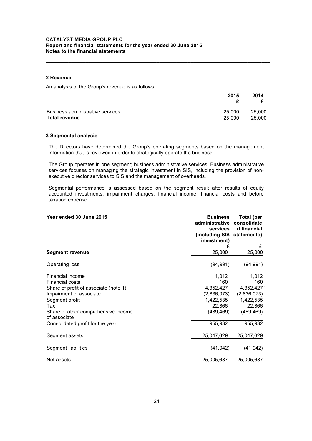#### 2 Revenue

An analysis of the Group's revenue is as follows:

|                                  | 2015   | 2014   |
|----------------------------------|--------|--------|
| Business administrative services | 25,000 | 25,000 |
| <b>Total revenue</b>             | 25,000 | 25,000 |

\_\_\_\_\_\_\_\_\_\_\_\_\_\_\_\_\_\_\_\_\_\_\_\_\_\_\_\_\_\_\_\_\_\_\_\_\_\_\_\_\_\_\_\_\_\_\_\_\_\_\_\_\_\_\_\_\_\_\_\_\_\_\_\_\_\_\_\_\_\_\_\_\_\_\_\_\_\_\_

#### 3 Segmental analysis

The Directors have determined the Group's operating segments based on the management information that is reviewed in order to strategically operate the business.

The Group operates in one segment; business administrative services. Business administrative services focuses on managing the strategic investment in SIS, including the provision of nonexecutive director services to SIS and the management of overheads.

Segmental performance is assessed based on the segment result after results of equity accounted investments, impairment charges, financial income, financial costs and before taxation expense.

| Year ended 30 June 2015                             | <b>Business</b><br>administrative<br>services<br>(including SIS statements)<br>investment) | Total (per<br>consolidate<br>d financial |
|-----------------------------------------------------|--------------------------------------------------------------------------------------------|------------------------------------------|
|                                                     | £                                                                                          | £                                        |
| <b>Segment revenue</b>                              | 25,000                                                                                     | 25,000                                   |
| Operating loss                                      | (94, 991)                                                                                  | (94, 991)                                |
| Financial income                                    | 1,012                                                                                      | 1,012                                    |
| <b>Financial costs</b>                              | 160                                                                                        | 160                                      |
| Share of profit of associate (note 1)               | 4,352,427                                                                                  | 4,352,4271                               |
| Impairment of associate                             | (2,836,073)                                                                                | (2,836,073)                              |
| Segment profit                                      | 1,422,535                                                                                  | 1,422,535                                |
| Tax                                                 | 22,866                                                                                     | 22,866                                   |
| Share of other comprehensive income<br>of associate | (489, 469)                                                                                 | (489, 469)                               |
| Consolidated profit for the year                    | 955,932                                                                                    | 955,932                                  |
| Segment assets                                      | 25,047,629                                                                                 | 25,047,629                               |
| Segment liabilities                                 | (41, 942)                                                                                  | (41,942)                                 |
| Net assets                                          | 25,005,687                                                                                 | 25,005,687                               |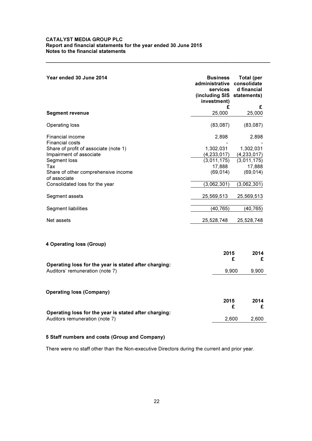| Year ended 30 June 2014                                                                                                                                                                                                                                                               | <b>Business</b><br>administrative<br>services<br>(including SIS statements)<br>investment)                                        |           | Total (per<br>consolidate<br>d financial                                                                                          |
|---------------------------------------------------------------------------------------------------------------------------------------------------------------------------------------------------------------------------------------------------------------------------------------|-----------------------------------------------------------------------------------------------------------------------------------|-----------|-----------------------------------------------------------------------------------------------------------------------------------|
| <b>Segment revenue</b>                                                                                                                                                                                                                                                                | 25,000                                                                                                                            | £         | £<br>25,000                                                                                                                       |
| Operating loss                                                                                                                                                                                                                                                                        | (83,087)                                                                                                                          |           | (83,087)                                                                                                                          |
| Financial income<br><b>Financial costs</b><br>Share of profit of associate (note 1)<br>Impairment of associate<br>Segment loss<br>Tax<br>Share of other comprehensive income<br>of associate<br>Consolidated loss for the year<br>Segment assets<br>Segment liabilities<br>Net assets | 2,898<br>1,302,031<br>(4, 233, 017)<br>(3,011,175)<br>17,888<br>(69, 014)<br>(3,062,301)<br>25,569,513<br>(40, 765)<br>25,528,748 |           | 2,898<br>1,302,031<br>(4, 233, 017)<br>(3,011,175)<br>17,888<br>(69, 014)<br>(3,062,301)<br>25,569,513<br>(40, 765)<br>25,528,748 |
| 4 Operating loss (Group)                                                                                                                                                                                                                                                              |                                                                                                                                   |           |                                                                                                                                   |
|                                                                                                                                                                                                                                                                                       |                                                                                                                                   | 2015<br>£ | 2014<br>£                                                                                                                         |
| Operating loss for the year is stated after charging:<br>Auditors' remuneration (note 7)                                                                                                                                                                                              |                                                                                                                                   | 9,900     | 9,900                                                                                                                             |
| <b>Operating loss (Company)</b>                                                                                                                                                                                                                                                       |                                                                                                                                   |           |                                                                                                                                   |
|                                                                                                                                                                                                                                                                                       |                                                                                                                                   | 2015<br>£ | 2014<br>£                                                                                                                         |
| Operating loss for the year is stated after charging:<br>Auditors remuneration (note 7)                                                                                                                                                                                               |                                                                                                                                   | 2,600     | 2,600                                                                                                                             |
|                                                                                                                                                                                                                                                                                       |                                                                                                                                   |           |                                                                                                                                   |

\_\_\_\_\_\_\_\_\_\_\_\_\_\_\_\_\_\_\_\_\_\_\_\_\_\_\_\_\_\_\_\_\_\_\_\_\_\_\_\_\_\_\_\_\_\_\_\_\_\_\_\_\_\_\_\_\_\_\_\_\_\_\_\_\_\_\_\_\_\_\_\_\_\_\_\_\_\_\_

### 5 Staff numbers and costs (Group and Company)

There were no staff other than the Non-executive Directors during the current and prior year.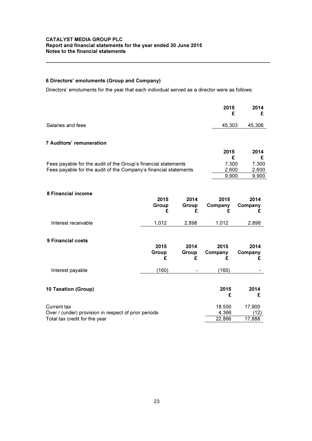### 6 Directors' emoluments (Group and Company)

Directors' emoluments for the year that each individual served as a director were as follows:

\_\_\_\_\_\_\_\_\_\_\_\_\_\_\_\_\_\_\_\_\_\_\_\_\_\_\_\_\_\_\_\_\_\_\_\_\_\_\_\_\_\_\_\_\_\_\_\_\_\_\_\_\_\_\_\_\_\_\_\_\_\_\_\_\_\_\_\_\_\_\_\_\_\_\_\_\_\_\_

|                                                                  |                    |                    | 2015<br>£            | 2014<br>£            |
|------------------------------------------------------------------|--------------------|--------------------|----------------------|----------------------|
| Salaries and fees                                                |                    |                    | 45,303               | 45,306               |
| <b>7 Auditors' remuneration</b>                                  |                    |                    |                      |                      |
|                                                                  |                    |                    | 2015<br>£            | 2014<br>£            |
| Fees payable for the audit of the Group's financial statements   |                    |                    | 7,300                | 7,300                |
| Fees payable for the audit of the Company's financial statements |                    |                    | 2,600                | 2,600                |
|                                                                  |                    |                    | 9,900                | 9,900                |
|                                                                  |                    |                    |                      |                      |
| 8 Financial income                                               | 2015<br>Group<br>£ | 2014<br>Group<br>£ | 2015<br>Company<br>£ | 2014<br>Company<br>£ |
| Interest receivable                                              | 1,012              | 2,898              | 1,012                | 2,898                |
| 9 Financial costs                                                | 2015<br>Group<br>£ | 2014<br>Group<br>£ | 2015<br>Company<br>£ | 2014<br>Company<br>£ |
| Interest payable                                                 | (160)              |                    | (160)                |                      |
| 10 Taxation (Group)                                              |                    |                    | 2015<br>£            | 2014<br>£            |
| Current tax                                                      |                    |                    | 18,500               | 17,900               |
| Over / (under) provision in respect of prior periods             |                    |                    | 4,366                | (12)                 |
| Total tax credit for the year                                    |                    |                    | 22,866               | 17,888               |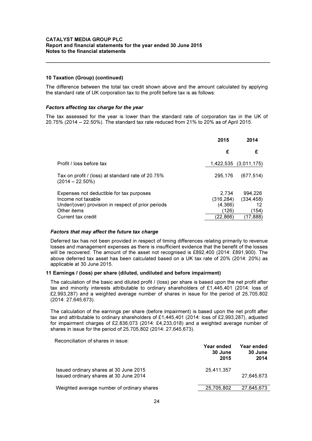#### 10 Taxation (Group) (continued)

The difference between the total tax credit shown above and the amount calculated by applying the standard rate of UK corporation tax to the profit before tax is as follows:

\_\_\_\_\_\_\_\_\_\_\_\_\_\_\_\_\_\_\_\_\_\_\_\_\_\_\_\_\_\_\_\_\_\_\_\_\_\_\_\_\_\_\_\_\_\_\_\_\_\_\_\_\_\_\_\_\_\_\_\_\_\_\_\_\_\_\_\_\_\_\_\_\_\_\_\_\_\_\_

#### Factors affecting tax charge for the year

The tax assessed for the year is lower than the standard rate of corporation tax in the UK of 20.75% (2014 – 22.50%). The standard tax rate reduced from 21% to 20% as of April 2015.

|                                                                                                                      | 2015                           | 2014                        |
|----------------------------------------------------------------------------------------------------------------------|--------------------------------|-----------------------------|
|                                                                                                                      | £                              | £                           |
| Profit / loss before tax                                                                                             |                                | 1,422,535 (3,011,175)       |
| Tax on profit / (loss) at standard rate of 20.75%<br>$(2014 - 22.50\%)$                                              | 295.176                        | (677, 514)                  |
| Expenses not deductible for tax purposes<br>Income not taxable<br>Under/(over) provision in respect of prior periods | 2.734<br>(316,284)<br>(4, 366) | 994,226<br>(334, 458)<br>12 |
| Other items<br>Current tax credit                                                                                    | (126)<br>(22.866)              | (154)<br>(17,888)           |

#### Factors that may affect the future tax charge

Deferred tax has not been provided in respect of timing differences relating primarily to revenue losses and management expenses as there is insufficient evidence that the benefit of the losses will be recovered. The amount of the asset not recognised is £892,400 (2014: £891,900). The above deferred tax asset has been calculated based on a UK tax rate of 20% (2014: 20%) as applicable at 30 June 2015.

#### 11 Earnings / (loss) per share (diluted, undiluted and before impairment)

The calculation of the basic and diluted profit / (loss) per share is based upon the net profit after tax and minority interests attributable to ordinary shareholders of £1,445,401 (2014: loss of £2,993,287) and a weighted average number of shares in issue for the period of 25,705,802 (2014: 27,645,673).

The calculation of the earnings per share (before impairment) is based upon the net profit after tax and attributable to ordinary shareholders of £1,445,401 (2014: loss of £2,993,287), adjusted for impairment charges of £2,836,073 (2014: £4,233,018) and a weighted average number of shares in issue for the period of 25,705,802 (2014: 27,645,673).

Reconciliation of shares in issue:

|                                                                                  | Year ended<br>30 June<br>2015 | Year ended<br>30 June<br>2014 |
|----------------------------------------------------------------------------------|-------------------------------|-------------------------------|
| Issued ordinary shares at 30 June 2015<br>Issued ordinary shares at 30 June 2014 | 25,411,357                    | 27.645.673                    |
| Weighted average number of ordinary shares                                       | 25,705,802                    | 27,645,673                    |
|                                                                                  |                               |                               |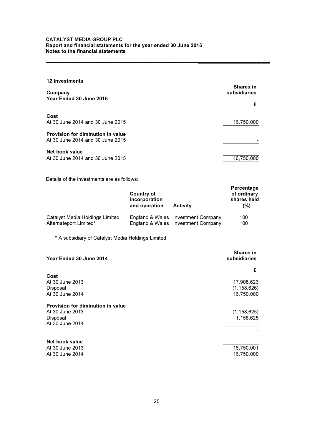| 12 Investments                                                        |                                  |
|-----------------------------------------------------------------------|----------------------------------|
| Company                                                               | <b>Shares in</b><br>subsidiaries |
| Year Ended 30 June 2015                                               | £                                |
| Cost<br>At 30 June 2014 and 30 June 2015                              | 16,750,000                       |
| Provision for diminution in value<br>At 30 June 2014 and 30 June 2015 |                                  |
| Net book value<br>At 30 June 2014 and 30 June 2015                    | 16,750,000                       |

\_\_\_\_\_\_\_\_\_\_\_\_\_\_\_\_\_\_\_\_\_\_\_\_\_\_\_\_\_\_\_\_\_\_\_\_\_\_\_\_\_\_\_\_\_\_\_\_\_\_\_\_\_\_\_\_\_\_\_\_\_\_\_\_\_\_\_\_\_\_\_\_\_\_\_\_\_\_\_

Details of the investments are as follows:

|                                 | Country of<br>incorporation<br>and operation | <b>Activity</b>                    | Percentage<br>of ordinary<br>shares held<br>(%) |
|---------------------------------|----------------------------------------------|------------------------------------|-------------------------------------------------|
| Catalyst Media Holdings Limited |                                              | England & Wales Investment Company | 100                                             |
| Alternateport Limited*          |                                              | England & Wales Investment Company | 100                                             |

\* A subsidiary of Catalyst Media Holdings Limited

| <b>Shares in</b><br>subsidiaries |
|----------------------------------|
| £                                |
|                                  |
| 17,908,626                       |
| (1, 158, 626)                    |
| 16,750,000                       |
|                                  |
| (1, 158, 625)                    |
| 1,158,625                        |
|                                  |
|                                  |
|                                  |
| 16,750,001                       |
| 16,750,000                       |
|                                  |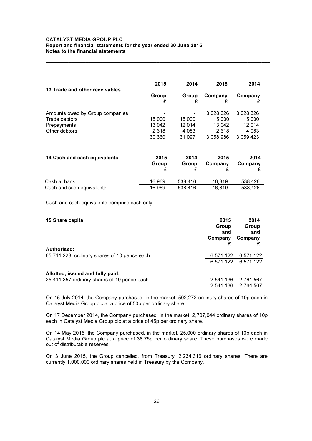| 13 Trade and other receivables  | 2015       | 2014   | 2015      | 2014      |
|---------------------------------|------------|--------|-----------|-----------|
|                                 | Group<br>£ | Group  | Company   | Company   |
| Amounts owed by Group companies |            |        | 3,028,326 | 3,028,326 |
| Trade debtors                   | 15,000     | 15,000 | 15,000    | 15,000    |
| Prepayments                     | 13.042     | 12.014 | 13.042    | 12.014    |
| Other debtors                   | 2,618      | 4,083  | 2,618     | 4,083     |
|                                 | 30,660     | 31.097 | 3,058,986 | 3,059,423 |

\_\_\_\_\_\_\_\_\_\_\_\_\_\_\_\_\_\_\_\_\_\_\_\_\_\_\_\_\_\_\_\_\_\_\_\_\_\_\_\_\_\_\_\_\_\_\_\_\_\_\_\_\_\_\_\_\_\_\_\_\_\_\_\_\_\_\_\_\_\_\_\_\_\_\_\_\_\_\_

| 14 Cash and cash equivalents | 2015<br>Group | 2014<br>Group | 2015<br>Company | 2014<br>Company |
|------------------------------|---------------|---------------|-----------------|-----------------|
| Cash at bank                 | 16.969        | 538.416       | 16.819          | 538.426         |
| Cash and cash equivalents    | 16.969        | 538,416       | 16.819          | 538.426         |

Cash and cash equivalents comprise cash only.

| 15 Share capital                            | 2015<br>Group<br>and<br>Company | 2014<br>Group<br>and<br>Company |
|---------------------------------------------|---------------------------------|---------------------------------|
| Authorised:                                 |                                 |                                 |
| 65,711,223 ordinary shares of 10 pence each | 6,571,122                       | 6,571,122                       |
|                                             |                                 | 6,571,122 6,571,122             |
| Allotted, issued and fully paid:            |                                 |                                 |
| 25,411,357 ordinary shares of 10 pence each | 2,541,136                       | 2,764,567                       |
|                                             |                                 | 2,541,136 2,764,567             |

On 15 July 2014, the Company purchased, in the market, 502,272 ordinary shares of 10p each in Catalyst Media Group plc at a price of 50p per ordinary share.

On 17 December 2014, the Company purchased, in the market, 2,707,044 ordinary shares of 10p each in Catalyst Media Group plc at a price of 45p per ordinary share.

On 14 May 2015, the Company purchased, in the market, 25,000 ordinary shares of 10p each in Catalyst Media Group plc at a price of 38.75p per ordinary share. These purchases were made out of distributable reserves.

On 3 June 2015, the Group cancelled, from Treasury, 2,234,316 ordinary shares. There are currently 1,000,000 ordinary shares held in Treasury by the Company.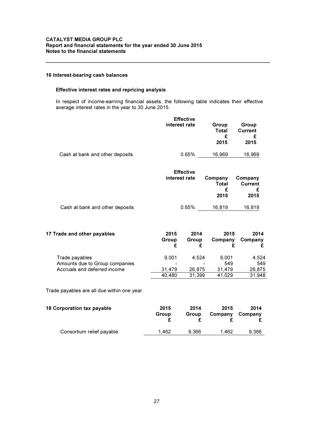#### 16 Interest-bearing cash balances

#### Effective interest rates and repricing analysis

 In respect of income-earning financial assets, the following table indicates their effective average interest rates in the year to 30 June 2015.

\_\_\_\_\_\_\_\_\_\_\_\_\_\_\_\_\_\_\_\_\_\_\_\_\_\_\_\_\_\_\_\_\_\_\_\_\_\_\_\_\_\_\_\_\_\_\_\_\_\_\_\_\_\_\_\_\_\_\_\_\_\_\_\_\_\_\_\_\_\_\_\_\_\_\_\_\_\_\_

|                                 | <b>Effective</b><br>interest rate            | Group<br>Total<br>£<br>2015   | Group<br><b>Current</b><br>£<br>2015   |
|---------------------------------|----------------------------------------------|-------------------------------|----------------------------------------|
| Cash at bank and other deposits | 0.65%                                        | 16,969                        | 16,969                                 |
|                                 | <b>Effective</b><br>interest rate            | Company<br>Total<br>£<br>2015 | Company<br><b>Current</b><br>£<br>2015 |
| Cash at bank and other deposits | 0.65%                                        | 16,819                        | 16,819                                 |
| 17 Trade and other payables     | 2015<br>2014<br>Group<br>Group<br>£          | 2015<br>Company<br>£<br>£     | 2014<br>Company<br>£                   |
| ÷                               | $\sim$ $\sim$ $\sim$<br>$\sim$ $\sim$ $\sim$ | $\sim$ $\sim$ $\sim$ $\sim$   | $\sim$ $\sim$ $\sim$                   |

Trade payables 9,001 4,524 9,001 4,524 Amounts due to Group companies<br>
Accruals and deferred income<br>
26,875 31,479 26,875 Accruals and deferred income <br>
31,479 26,875 31,479 26,875<br>
40,480 31,399 41,029 31,948 31,399 41,029

Trade payables are all due within one year.

| 2015<br>Group | 2014<br>Group | 2015<br>Company | 2014<br>Company |
|---------------|---------------|-----------------|-----------------|
| 1.462         | 9.366         | 1.462           | 9.366           |
|               |               |                 |                 |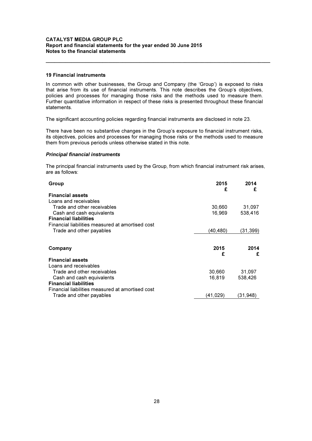#### 19 Financial instruments

In common with other businesses, the Group and Company (the 'Group') is exposed to risks that arise from its use of financial instruments. This note describes the Group's objectives, policies and processes for managing those risks and the methods used to measure them. Further quantitative information in respect of these risks is presented throughout these financial statements.

\_\_\_\_\_\_\_\_\_\_\_\_\_\_\_\_\_\_\_\_\_\_\_\_\_\_\_\_\_\_\_\_\_\_\_\_\_\_\_\_\_\_\_\_\_\_\_\_\_\_\_\_\_\_\_\_\_\_\_\_\_\_\_\_\_\_\_\_\_\_\_\_\_\_\_\_\_\_\_

The significant accounting policies regarding financial instruments are disclosed in note 23.

There have been no substantive changes in the Group's exposure to financial instrument risks, its objectives, policies and processes for managing those risks or the methods used to measure them from previous periods unless otherwise stated in this note.

#### Principal financial instruments

The principal financial instruments used by the Group, from which financial instrument risk arises, are as follows:

| Group                                            | 2015<br>£ | 2014<br>£ |
|--------------------------------------------------|-----------|-----------|
| <b>Financial assets</b>                          |           |           |
| Loans and receivables                            |           |           |
| Trade and other receivables                      | 30,660    | 31,097    |
| Cash and cash equivalents                        | 16,969    | 538,416   |
| <b>Financial liabilities</b>                     |           |           |
| Financial liabilities measured at amortised cost |           |           |
| Trade and other payables                         | (40,480)  | (31, 399) |
|                                                  |           |           |
|                                                  |           |           |
| Company                                          | 2015<br>£ | 2014<br>£ |
| <b>Financial assets</b>                          |           |           |
| Loans and receivables                            |           |           |
| Trade and other receivables                      | 30,660    | 31,097    |
| Cash and cash equivalents                        | 16,819    | 538,426   |
| <b>Financial liabilities</b>                     |           |           |
| Financial liabilities measured at amortised cost |           |           |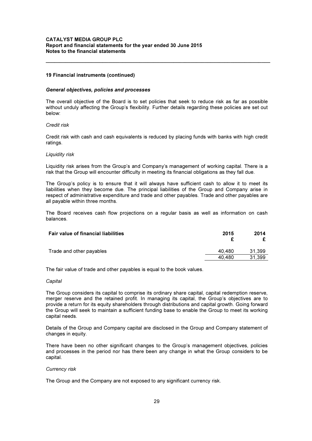#### 19 Financial instruments (continued)

#### General objectives, policies and processes

The overall objective of the Board is to set policies that seek to reduce risk as far as possible without unduly affecting the Group's flexibility. Further details regarding these policies are set out below:

\_\_\_\_\_\_\_\_\_\_\_\_\_\_\_\_\_\_\_\_\_\_\_\_\_\_\_\_\_\_\_\_\_\_\_\_\_\_\_\_\_\_\_\_\_\_\_\_\_\_\_\_\_\_\_\_\_\_\_\_\_\_\_\_\_\_\_\_\_\_\_\_\_\_\_\_\_\_\_

#### Credit risk

Credit risk with cash and cash equivalents is reduced by placing funds with banks with high credit ratings.

#### Liquidity risk

Liquidity risk arises from the Group's and Company's management of working capital. There is a risk that the Group will encounter difficulty in meeting its financial obligations as they fall due.

The Group's policy is to ensure that it will always have sufficient cash to allow it to meet its liabilities when they become due. The principal liabilities of the Group and Company arise in respect of administrative expenditure and trade and other payables. Trade and other payables are all payable within three months.

The Board receives cash flow projections on a regular basis as well as information on cash balances.

| <b>Fair value of financial liabilities</b> | 2015   | 2014   |
|--------------------------------------------|--------|--------|
| Trade and other payables                   | 40.480 | 31.399 |
|                                            | 40.480 | 31,399 |

The fair value of trade and other payables is equal to the book values.

#### **Capital**

The Group considers its capital to comprise its ordinary share capital, capital redemption reserve, merger reserve and the retained profit. In managing its capital, the Group's objectives are to provide a return for its equity shareholders through distributions and capital growth. Going forward the Group will seek to maintain a sufficient funding base to enable the Group to meet its working capital needs.

Details of the Group and Company capital are disclosed in the Group and Company statement of changes in equity.

There have been no other significant changes to the Group's management objectives, policies and processes in the period nor has there been any change in what the Group considers to be capital.

#### Currency risk

The Group and the Company are not exposed to any significant currency risk.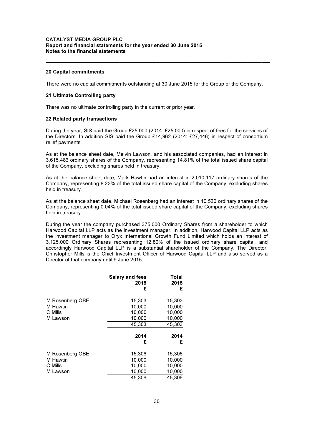#### 20 Capital commitments

There were no capital commitments outstanding at 30 June 2015 for the Group or the Company.

\_\_\_\_\_\_\_\_\_\_\_\_\_\_\_\_\_\_\_\_\_\_\_\_\_\_\_\_\_\_\_\_\_\_\_\_\_\_\_\_\_\_\_\_\_\_\_\_\_\_\_\_\_\_\_\_\_\_\_\_\_\_\_\_\_\_\_\_\_\_\_\_\_\_\_\_\_\_\_

#### 21 Ultimate Controlling party

There was no ultimate controlling party in the current or prior year.

#### 22 Related party transactions

During the year, SIS paid the Group £25,000 (2014: £25,000) in respect of fees for the services of the Directors. In addition SIS paid the Group £14,962 (2014: £27,446) in respect of consortium relief payments.

As at the balance sheet date, Melvin Lawson, and his associated companies, had an interest in 3,615,486 ordinary shares of the Company, representing 14.81% of the total issued share capital of the Company, excluding shares held in treasury.

As at the balance sheet date, Mark Hawtin had an interest in 2,010,117 ordinary shares of the Company, representing 8.23% of the total issued share capital of the Company, excluding shares held in treasury.

As at the balance sheet date, Michael Rosenberg had an interest in 10,520 ordinary shares of the Company, representing 0.04% of the total issued share capital of the Company, excluding shares held in treasury.

During the year the company purchased 375,000 Ordinary Shares from a shareholder to which Harwood Capital LLP acts as the investment manager. In addition, Harwood Capital LLP acts as the investment manager to Oryx International Growth Fund Limited which holds an interest of 3,125,000 Ordinary Shares representing 12.80% of the issued ordinary share capital, and accordingly Harwood Capital LLP is a substantial shareholder of the Company. The Director, Christopher Mills is the Chief Investment Officer of Harwood Capital LLP and also served as a Director of that company until 9 June 2015.

|                 | <b>Salary and fees</b><br>2015<br>£ | Total<br>2015<br>£ |
|-----------------|-------------------------------------|--------------------|
| M Rosenberg OBE | 15,303                              | 15,303             |
| M Hawtin        | 10,000                              | 10,000             |
| C Mills         | 10,000                              | 10,000             |
| M Lawson        | 10,000                              | 10,000             |
|                 | 45,303                              | 45,303             |
|                 | 2014                                | 2014               |
|                 | £                                   | £                  |
| M Rosenberg OBE | 15,306                              | 15,306             |
| M Hawtin        | 10,000                              | 10,000             |
| C Mills         | 10,000                              | 10,000             |
| M Lawson        | 10,000                              | 10,000             |
|                 | 45,306                              | 45,306             |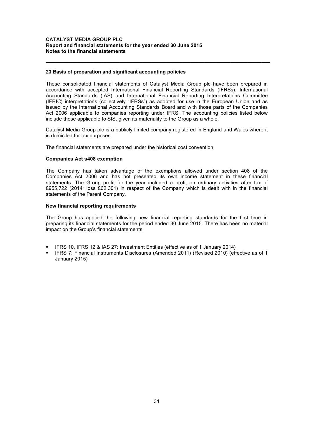#### 23 Basis of preparation and significant accounting policies

These consolidated financial statements of Catalyst Media Group plc have been prepared in accordance with accepted International Financial Reporting Standards (IFRSs), International Accounting Standards (IAS) and International Financial Reporting Interpretations Committee (IFRIC) interpretations (collectively "IFRSs") as adopted for use in the European Union and as issued by the International Accounting Standards Board and with those parts of the Companies Act 2006 applicable to companies reporting under IFRS. The accounting policies listed below include those applicable to SIS, given its materiality to the Group as a whole.

\_\_\_\_\_\_\_\_\_\_\_\_\_\_\_\_\_\_\_\_\_\_\_\_\_\_\_\_\_\_\_\_\_\_\_\_\_\_\_\_\_\_\_\_\_\_\_\_\_\_\_\_\_\_\_\_\_\_\_\_\_\_\_\_\_\_\_\_\_\_\_\_\_\_\_\_\_\_\_

Catalyst Media Group plc is a publicly limited company registered in England and Wales where it is domiciled for tax purposes.

The financial statements are prepared under the historical cost convention.

#### Companies Act s408 exemption

The Company has taken advantage of the exemptions allowed under section 408 of the Companies Act 2006 and has not presented its own income statement in these financial statements. The Group profit for the year included a profit on ordinary activities after tax of £955,722 (2014: loss £62,301) in respect of the Company which is dealt with in the financial statements of the Parent Company.

#### New financial reporting requirements

The Group has applied the following new financial reporting standards for the first time in preparing its financial statements for the period ended 30 June 2015. There has been no material impact on the Group's financial statements.

- IFRS 10, IFRS 12 & IAS 27: Investment Entities (effective as of 1 January 2014)
- IFRS 7: Financial Instruments Disclosures (Amended 2011) (Revised 2010) (effective as of 1 January 2015)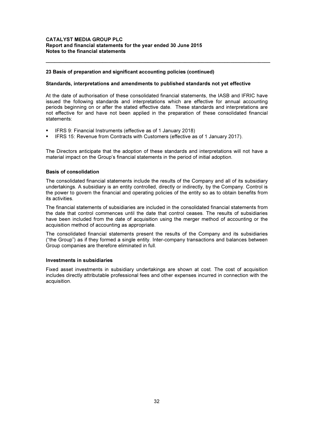#### 23 Basis of preparation and significant accounting policies (continued)

#### Standards, interpretations and amendments to published standards not yet effective

At the date of authorisation of these consolidated financial statements, the IASB and IFRIC have issued the following standards and interpretations which are effective for annual accounting periods beginning on or after the stated effective date. These standards and interpretations are not effective for and have not been applied in the preparation of these consolidated financial statements:

\_\_\_\_\_\_\_\_\_\_\_\_\_\_\_\_\_\_\_\_\_\_\_\_\_\_\_\_\_\_\_\_\_\_\_\_\_\_\_\_\_\_\_\_\_\_\_\_\_\_\_\_\_\_\_\_\_\_\_\_\_\_\_\_\_\_\_\_\_\_\_\_\_\_\_\_\_\_\_

- IFRS 9: Financial Instruments (effective as of 1 January 2018)
- IFRS 15: Revenue from Contracts with Customers (effective as of 1 January 2017).

The Directors anticipate that the adoption of these standards and interpretations will not have a material impact on the Group's financial statements in the period of initial adoption.

#### Basis of consolidation

The consolidated financial statements include the results of the Company and all of its subsidiary undertakings. A subsidiary is an entity controlled, directly or indirectly, by the Company. Control is the power to govern the financial and operating policies of the entity so as to obtain benefits from its activities.

The financial statements of subsidiaries are included in the consolidated financial statements from the date that control commences until the date that control ceases. The results of subsidiaries have been included from the date of acquisition using the merger method of accounting or the acquisition method of accounting as appropriate.

The consolidated financial statements present the results of the Company and its subsidiaries ("the Group") as if they formed a single entity. Inter-company transactions and balances between Group companies are therefore eliminated in full.

#### Investments in subsidiaries

Fixed asset investments in subsidiary undertakings are shown at cost. The cost of acquisition includes directly attributable professional fees and other expenses incurred in connection with the acquisition.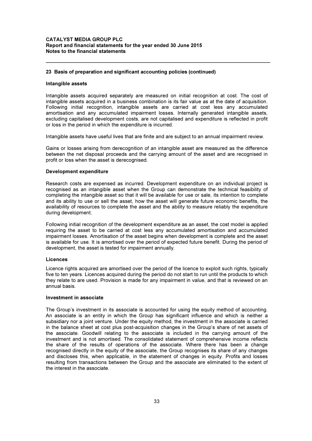#### 23 Basis of preparation and significant accounting policies (continued)

#### Intangible assets

Intangible assets acquired separately are measured on initial recognition at cost. The cost of intangible assets acquired in a business combination is its fair value as at the date of acquisition. Following initial recognition, intangible assets are carried at cost less any accumulated amortisation and any accumulated impairment losses. Internally generated intangible assets, excluding capitalised development costs, are not capitalised and expenditure is reflected in profit or loss in the period in which the expenditure is incurred.

\_\_\_\_\_\_\_\_\_\_\_\_\_\_\_\_\_\_\_\_\_\_\_\_\_\_\_\_\_\_\_\_\_\_\_\_\_\_\_\_\_\_\_\_\_\_\_\_\_\_\_\_\_\_\_\_\_\_\_\_\_\_\_\_\_\_\_\_\_\_\_\_\_\_\_\_\_\_\_

Intangible assets have useful lives that are finite and are subject to an annual impairment review.

Gains or losses arising from derecognition of an intangible asset are measured as the difference between the net disposal proceeds and the carrying amount of the asset and are recognised in profit or loss when the asset is derecognised.

#### Development expenditure

Research costs are expensed as incurred. Development expenditure on an individual project is recognised as an intangible asset when the Group can demonstrate the technical feasibility of completing the intangible asset so that it will be available for use or sale, its intention to complete and its ability to use or sell the asset, how the asset will generate future economic benefits, the availability of resources to complete the asset and the ability to measure reliably the expenditure during development.

Following initial recognition of the development expenditure as an asset, the cost model is applied requiring the asset to be carried at cost less any accumulated amortisation and accumulated impairment losses. Amortisation of the asset begins when development is complete and the asset is available for use. It is amortised over the period of expected future benefit. During the period of development, the asset is tested for impairment annually.

#### Licences

Licence rights acquired are amortised over the period of the licence to exploit such rights, typically five to ten years. Licences acquired during the period do not start to run until the products to which they relate to are used. Provision is made for any impairment in value, and that is reviewed on an annual basis.

#### Investment in associate

The Group's investment in its associate is accounted for using the equity method of accounting. An associate is an entity in which the Group has significant influence and which is neither a subsidiary nor a joint venture. Under the equity method, the investment in the associate is carried in the balance sheet at cost plus post-acquisition changes in the Group's share of net assets of the associate. Goodwill relating to the associate is included in the carrying amount of the investment and is not amortised. The consolidated statement of comprehensive income reflects the share of the results of operations of the associate. Where there has been a change recognised directly in the equity of the associate, the Group recognises its share of any changes and discloses this, when applicable, in the statement of changes in equity. Profits and losses resulting from transactions between the Group and the associate are eliminated to the extent of the interest in the associate.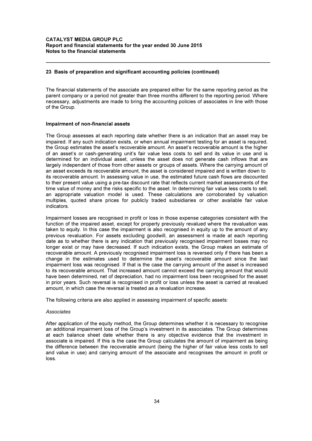#### 23 Basis of preparation and significant accounting policies (continued)

The financial statements of the associate are prepared either for the same reporting period as the parent company or a period not greater than three months different to the reporting period. Where necessary, adjustments are made to bring the accounting policies of associates in line with those of the Group.

\_\_\_\_\_\_\_\_\_\_\_\_\_\_\_\_\_\_\_\_\_\_\_\_\_\_\_\_\_\_\_\_\_\_\_\_\_\_\_\_\_\_\_\_\_\_\_\_\_\_\_\_\_\_\_\_\_\_\_\_\_\_\_\_\_\_\_\_\_\_\_\_\_\_\_\_\_\_\_

#### Impairment of non-financial assets

The Group assesses at each reporting date whether there is an indication that an asset may be impaired. If any such indication exists, or when annual impairment testing for an asset is required, the Group estimates the asset's recoverable amount. An asset's recoverable amount is the higher of an asset's or cash-generating unit's fair value less costs to sell and its value in use and is determined for an individual asset, unless the asset does not generate cash inflows that are largely independent of those from other assets or groups of assets. Where the carrying amount of an asset exceeds its recoverable amount, the asset is considered impaired and is written down to its recoverable amount. In assessing value in use, the estimated future cash flows are discounted to their present value using a pre-tax discount rate that reflects current market assessments of the time value of money and the risks specific to the asset. In determining fair value less costs to sell, an appropriate valuation model is used. These calculations are corroborated by valuation multiples, quoted share prices for publicly traded subsidiaries or other available fair value indicators.

Impairment losses are recognised in profit or loss in those expense categories consistent with the function of the impaired asset, except for property previously revalued where the revaluation was taken to equity. In this case the impairment is also recognised in equity up to the amount of any previous revaluation. For assets excluding goodwill, an assessment is made at each reporting date as to whether there is any indication that previously recognised impairment losses may no longer exist or may have decreased. If such indication exists, the Group makes an estimate of recoverable amount. A previously recognised impairment loss is reversed only if there has been a change in the estimates used to determine the asset's recoverable amount since the last impairment loss was recognised. If that is the case the carrying amount of the asset is increased to its recoverable amount. That increased amount cannot exceed the carrying amount that would have been determined, net of depreciation, had no impairment loss been recognised for the asset in prior years. Such reversal is recognised in profit or loss unless the asset is carried at revalued amount, in which case the reversal is treated as a revaluation increase.

The following criteria are also applied in assessing impairment of specific assets:

#### Associates

After application of the equity method, the Group determines whether it is necessary to recognise an additional impairment loss of the Group's investment in its associates. The Group determines at each balance sheet date whether there is any objective evidence that the investment in associate is impaired. If this is the case the Group calculates the amount of impairment as being the difference between the recoverable amount (being the higher of fair value less costs to sell and value in use) and carrying amount of the associate and recognises the amount in profit or loss.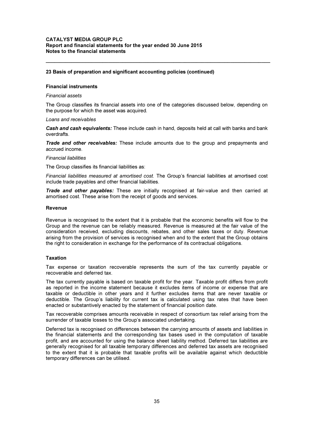#### 23 Basis of preparation and significant accounting policies (continued)

#### Financial instruments

#### Financial assets

The Group classifies its financial assets into one of the categories discussed below, depending on the purpose for which the asset was acquired.

\_\_\_\_\_\_\_\_\_\_\_\_\_\_\_\_\_\_\_\_\_\_\_\_\_\_\_\_\_\_\_\_\_\_\_\_\_\_\_\_\_\_\_\_\_\_\_\_\_\_\_\_\_\_\_\_\_\_\_\_\_\_\_\_\_\_\_\_\_\_\_\_\_\_\_\_\_\_\_

#### Loans and receivables

Cash and cash equivalents: These include cash in hand, deposits held at call with banks and bank overdrafts.

**Trade and other receivables:** These include amounts due to the group and prepayments and accrued income.

#### Financial liabilities

The Group classifies its financial liabilities as:

Financial liabilities measured at amortised cost. The Group's financial liabilities at amortised cost include trade payables and other financial liabilities.

Trade and other payables: These are initially recognised at fair-value and then carried at amortised cost. These arise from the receipt of goods and services.

#### Revenue

Revenue is recognised to the extent that it is probable that the economic benefits will flow to the Group and the revenue can be reliably measured. Revenue is measured at the fair value of the consideration received, excluding discounts, rebates, and other sales taxes or duty. Revenue arising from the provision of services is recognised when and to the extent that the Group obtains the right to consideration in exchange for the performance of its contractual obligations.

#### Taxation

Tax expense or taxation recoverable represents the sum of the tax currently payable or recoverable and deferred tax.

The tax currently payable is based on taxable profit for the year. Taxable profit differs from profit as reported in the income statement because it excludes items of income or expense that are taxable or deductible in other years and it further excludes items that are never taxable or deductible. The Group's liability for current tax is calculated using tax rates that have been enacted or substantively enacted by the statement of financial position date.

Tax recoverable comprises amounts receivable in respect of consortium tax relief arising from the surrender of taxable losses to the Group's associated undertaking.

Deferred tax is recognised on differences between the carrying amounts of assets and liabilities in the financial statements and the corresponding tax bases used in the computation of taxable profit, and are accounted for using the balance sheet liability method. Deferred tax liabilities are generally recognised for all taxable temporary differences and deferred tax assets are recognised to the extent that it is probable that taxable profits will be available against which deductible temporary differences can be utilised.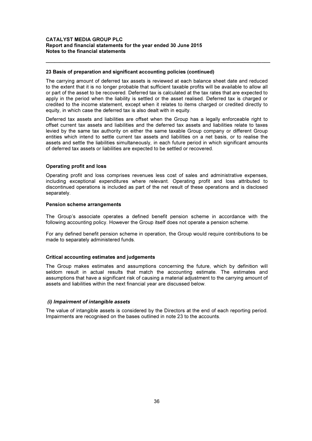#### 23 Basis of preparation and significant accounting policies (continued)

The carrying amount of deferred tax assets is reviewed at each balance sheet date and reduced to the extent that it is no longer probable that sufficient taxable profits will be available to allow all or part of the asset to be recovered. Deferred tax is calculated at the tax rates that are expected to apply in the period when the liability is settled or the asset realised. Deferred tax is charged or credited to the income statement, except when it relates to items charged or credited directly to equity, in which case the deferred tax is also dealt with in equity.

\_\_\_\_\_\_\_\_\_\_\_\_\_\_\_\_\_\_\_\_\_\_\_\_\_\_\_\_\_\_\_\_\_\_\_\_\_\_\_\_\_\_\_\_\_\_\_\_\_\_\_\_\_\_\_\_\_\_\_\_\_\_\_\_\_\_\_\_\_\_\_\_\_\_\_\_\_\_\_

Deferred tax assets and liabilities are offset when the Group has a legally enforceable right to offset current tax assets and liabilities and the deferred tax assets and liabilities relate to taxes levied by the same tax authority on either the same taxable Group company or different Group entities which intend to settle current tax assets and liabilities on a net basis, or to realise the assets and settle the liabilities simultaneously, in each future period in which significant amounts of deferred tax assets or liabilities are expected to be settled or recovered.

#### Operating profit and loss

Operating profit and loss comprises revenues less cost of sales and administrative expenses, including exceptional expenditures where relevant. Operating profit and loss attributed to discontinued operations is included as part of the net result of these operations and is disclosed separately.

#### Pension scheme arrangements

The Group's associate operates a defined benefit pension scheme in accordance with the following accounting policy. However the Group itself does not operate a pension scheme.

For any defined benefit pension scheme in operation, the Group would require contributions to be made to separately administered funds.

#### Critical accounting estimates and judgements

The Group makes estimates and assumptions concerning the future, which by definition will seldom result in actual results that match the accounting estimate. The estimates and assumptions that have a significant risk of causing a material adjustment to the carrying amount of assets and liabilities within the next financial year are discussed below.

#### (i) Impairment of intangible assets

The value of intangible assets is considered by the Directors at the end of each reporting period. Impairments are recognised on the bases outlined in note 23 to the accounts.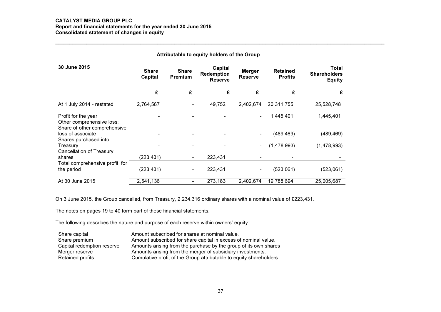#### CATALYST MEDIA GROUP PLC

# Report and financial statements for the year ended 30 June 2015 Consolidated statement of changes in equity \_\_\_\_\_\_\_\_\_\_\_\_\_\_\_\_\_\_\_\_\_\_\_\_\_\_\_\_\_\_\_\_\_\_\_\_\_\_\_\_\_\_\_\_\_\_\_\_\_\_\_\_\_\_\_\_\_\_\_\_\_\_\_\_\_\_\_\_\_\_\_\_\_\_\_\_\_\_\_\_\_\_\_\_\_\_\_\_\_\_\_\_\_\_\_\_\_\_\_\_\_\_\_\_\_\_\_\_\_\_\_\_\_\_\_\_

| Attributable to equity holders of the Group                                      |                         |                                |                                         |                                 |                                   |                                               |  |  |
|----------------------------------------------------------------------------------|-------------------------|--------------------------------|-----------------------------------------|---------------------------------|-----------------------------------|-----------------------------------------------|--|--|
| 30 June 2015                                                                     | <b>Share</b><br>Capital | <b>Share</b><br><b>Premium</b> | Capital<br>Redemption<br><b>Reserve</b> | <b>Merger</b><br><b>Reserve</b> | <b>Retained</b><br><b>Profits</b> | Total<br><b>Shareholders</b><br><b>Equity</b> |  |  |
|                                                                                  | £                       | £                              | £                                       | £                               | £                                 | £                                             |  |  |
| At 1 July 2014 - restated                                                        | 2,764,567               |                                | 49,752                                  | 2,402,674                       | 20,311,755                        | 25,528,748                                    |  |  |
| Profit for the year<br>Other comprehensive loss:<br>Share of other comprehensive |                         |                                |                                         | ٠                               | 1,445,401                         | 1,445,401                                     |  |  |
| loss of associate<br>Shares purchased into                                       |                         |                                |                                         |                                 | (489, 469)                        | (489, 469)                                    |  |  |
| Treasury<br>Cancellation of Treasury                                             |                         |                                |                                         | ٠                               | (1,478,993)                       | (1,478,993)                                   |  |  |
| shares                                                                           | (223,431)               |                                | 223,431                                 |                                 |                                   |                                               |  |  |
| Total comprehensive profit for                                                   |                         |                                |                                         |                                 |                                   |                                               |  |  |
| the period                                                                       | (223, 431)              |                                | 223,431                                 | ٠                               | (523,061)                         | (523,061)                                     |  |  |
| At 30 June 2015                                                                  | 2,541,136               |                                | 273,183                                 | 2,402,674                       | 19,788,694                        | 25,005,687                                    |  |  |

On 3 June 2015, the Group cancelled, from Treasury, 2,234,316 ordinary shares with a nominal value of £223,431. The notes on pages 19 to 40 form part of these financial statements.

| Share capital              | Amount subscribed for shares at nominal value.                      |
|----------------------------|---------------------------------------------------------------------|
| Share premium              | Amount subscribed for share capital in excess of nominal value.     |
| Capital redemption reserve | Amounts arising from the purchase by the group of its own shares    |
| Merger reserve             | Amounts arising from the merger of subsidiary investments.          |
| Retained profits           | Cumulative profit of the Group attributable to equity shareholders. |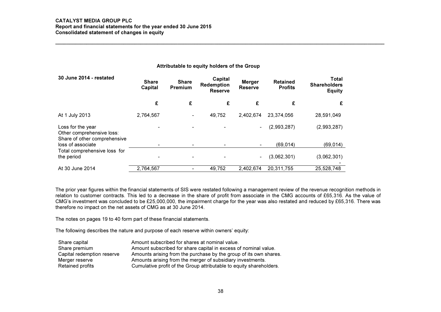#### CATALYST MEDIA GROUP PLC

 Report and financial statements for the year ended 30 June 2015 Consolidated statement of changes in equity

#### Attributable to equity holders of the Group

| 30 June 2014 - restated                                                        | <b>Share</b><br>Capital | <b>Share</b><br>Premium  | Capital<br><b>Redemption</b><br><b>Reserve</b> | <b>Merger</b><br><b>Reserve</b> | <b>Retained</b><br><b>Profits</b> | Total<br><b>Shareholders</b><br><b>Equity</b> |
|--------------------------------------------------------------------------------|-------------------------|--------------------------|------------------------------------------------|---------------------------------|-----------------------------------|-----------------------------------------------|
|                                                                                | £                       | £                        | £                                              | £                               | £                                 | £                                             |
| At 1 July 2013                                                                 | 2,764,567               | ۰                        | 49,752                                         | 2,402,674                       | 23.374.056                        | 28,591,049                                    |
| Loss for the year<br>Other comprehensive loss:<br>Share of other comprehensive |                         |                          |                                                | $\sim$                          | (2,993,287)                       | (2,993,287)                                   |
| loss of associate                                                              | ۰                       |                          |                                                |                                 | (69, 014)                         | (69, 014)                                     |
| Total comprehensive loss for<br>the period                                     | ۰                       | $\overline{\phantom{0}}$ |                                                | $\overline{\phantom{0}}$        | (3,062,301)                       | (3,062,301)                                   |
| At 30 June 2014                                                                | 2,764,567               |                          | 49,752                                         | 2,402,674                       | 20,311,755                        | 25,528,748                                    |

The prior year figures within the financial statements of SIS were restated following a management review of the revenue recognition methods in relation to customer contracts. This led to a decrease in the share of profit from associate in the CMG accounts of £65,316. As the value of CMG's investment was concluded to be £25,000,000, the impairment charge for the year was also restated and reduced by £65,316. There was therefore no impact on the net assets of CMG as at 30 June 2014.

The notes on pages 19 to 40 form part of these financial statements.

| Share capital              | Amount subscribed for shares at nominal value.                      |
|----------------------------|---------------------------------------------------------------------|
| Share premium              | Amount subscribed for share capital in excess of nominal value.     |
| Capital redemption reserve | Amounts arising from the purchase by the group of its own shares.   |
| Merger reserve             | Amounts arising from the merger of subsidiary investments.          |
| Retained profits           | Cumulative profit of the Group attributable to equity shareholders. |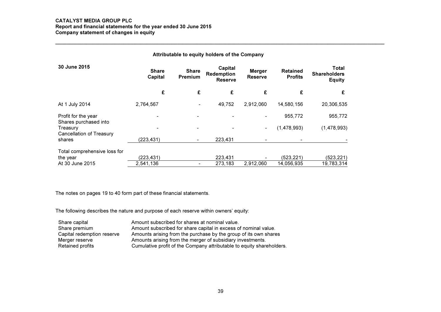#### CATALYST MEDIA GROUP PLC

# Report and financial statements for the year ended 30 June 2015 Company statement of changes in equity \_\_\_\_\_\_\_\_\_\_\_\_\_\_\_\_\_\_\_\_\_\_\_\_\_\_\_\_\_\_\_\_\_\_\_\_\_\_\_\_\_\_\_\_\_\_\_\_\_\_\_\_\_\_\_\_\_\_\_\_\_\_\_\_\_\_\_\_\_\_\_\_\_\_\_\_\_\_\_\_\_\_\_\_\_\_\_\_\_\_\_\_\_\_\_\_\_\_\_\_\_\_\_\_\_\_\_\_\_\_\_\_\_\_\_\_

| Attributable to equity holders of the Company |                         |                                |                                         |                                 |                                   |                                               |  |
|-----------------------------------------------|-------------------------|--------------------------------|-----------------------------------------|---------------------------------|-----------------------------------|-----------------------------------------------|--|
| 30 June 2015                                  | <b>Share</b><br>Capital | <b>Share</b><br><b>Premium</b> | Capital<br>Redemption<br><b>Reserve</b> | <b>Merger</b><br><b>Reserve</b> | <b>Retained</b><br><b>Profits</b> | Total<br><b>Shareholders</b><br><b>Equity</b> |  |
|                                               | £                       | £                              | £                                       | £                               | £                                 | £                                             |  |
| At 1 July 2014                                | 2,764,567               | -                              | 49,752                                  | 2,912,060                       | 14,580,156                        | 20,306,535                                    |  |
| Profit for the year                           |                         |                                |                                         |                                 | 955,772                           | 955,772                                       |  |
| Shares purchased into<br>Treasury             |                         |                                |                                         | ٠                               | (1,478,993)                       | (1,478,993)                                   |  |
| <b>Cancellation of Treasury</b><br>shares     | (223,431)               |                                | 223,431                                 |                                 |                                   |                                               |  |
| Total comprehensive loss for                  |                         |                                |                                         |                                 |                                   |                                               |  |
| the year                                      | (223,431)               |                                | 223,431                                 |                                 | (523, 221)                        | (523, 221)                                    |  |
| At 30 June 2015                               | 2,541,136               | ٠                              | 273,183                                 | 2.912.060                       | 14.056.935                        | 19.783.314                                    |  |

The notes on pages 19 to 40 form part of these financial statements.

| Share capital              | Amount subscribed for shares at nominal value.                        |
|----------------------------|-----------------------------------------------------------------------|
| Share premium              | Amount subscribed for share capital in excess of nominal value.       |
| Capital redemption reserve | Amounts arising from the purchase by the group of its own shares      |
| Merger reserve             | Amounts arising from the merger of subsidiary investments.            |
| Retained profits           | Cumulative profit of the Company attributable to equity shareholders. |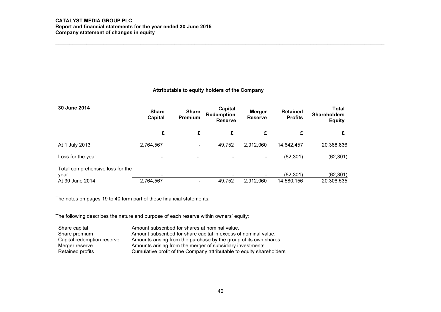## CATALYST MEDIA GROUP PLC Report and financial statements for the year ended 30 June 2015 Company statement of changes in equity \_\_\_\_\_\_\_\_\_\_\_\_\_\_\_\_\_\_\_\_\_\_\_\_\_\_\_\_\_\_\_\_\_\_\_\_\_\_\_\_\_\_\_\_\_\_\_\_\_\_\_\_\_\_\_\_\_\_\_\_\_\_\_\_\_\_\_\_\_\_\_\_\_\_\_\_\_\_\_\_\_\_\_\_\_\_\_\_\_\_\_\_\_\_\_\_\_\_\_\_\_\_\_\_\_\_\_\_\_\_\_\_\_\_\_\_

| Attributable to equity holders of the Company |  |  |  |  |  |
|-----------------------------------------------|--|--|--|--|--|
|-----------------------------------------------|--|--|--|--|--|

| 30 June 2014                             | <b>Share</b><br>Capital | <b>Share</b><br><b>Premium</b> | Capital<br>Redemption<br><b>Reserve</b> | <b>Merger</b><br><b>Reserve</b> | <b>Retained</b><br><b>Profits</b> | Total<br><b>Shareholders</b><br><b>Equity</b> |
|------------------------------------------|-------------------------|--------------------------------|-----------------------------------------|---------------------------------|-----------------------------------|-----------------------------------------------|
|                                          | £                       | £                              | £                                       | £                               | £                                 |                                               |
| At 1 July 2013                           | 2,764,567               | ۰                              | 49,752                                  | 2,912,060                       | 14,642,457                        | 20,368,836                                    |
| Loss for the year                        | ۰                       | ٠                              |                                         |                                 | (62, 301)                         | (62, 301)                                     |
| Total comprehensive loss for the<br>year |                         |                                |                                         |                                 | (62, 301)                         | (62, 301)                                     |
| At 30 June 2014                          | 2,764,567               |                                | 49,752                                  | 2,912,060                       | 14,580,156                        | 20,306,535                                    |

The notes on pages 19 to 40 form part of these financial statements.

| Share capital              | Amount subscribed for shares at nominal value.                        |
|----------------------------|-----------------------------------------------------------------------|
| Share premium              | Amount subscribed for share capital in excess of nominal value.       |
| Capital redemption reserve | Amounts arising from the purchase by the group of its own shares      |
| Merger reserve             | Amounts arising from the merger of subsidiary investments.            |
| Retained profits           | Cumulative profit of the Company attributable to equity shareholders. |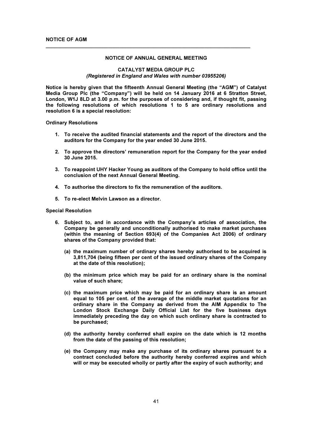#### NOTICE OF ANNUAL GENERAL MEETING

 $\overline{\phantom{a}}$  , and the contribution of the contribution of the contribution of the contribution of the contribution of the contribution of the contribution of the contribution of the contribution of the contribution of the

#### CATALYST MEDIA GROUP PLC (Registered in England and Wales with number 03955206)

Notice is hereby given that the fifteenth Annual General Meeting (the "AGM") of Catalyst Media Group Plc (the "Company") will be held on 14 January 2016 at 6 Stratton Street, London, W1J 8LD at 3.00 p.m. for the purposes of considering and, if thought fit, passing the following resolutions of which resolutions 1 to 5 are ordinary resolutions and resolution 6 is a special resolution:

Ordinary Resolutions

- 1. To receive the audited financial statements and the report of the directors and the auditors for the Company for the year ended 30 June 2015.
- 2. To approve the directors' remuneration report for the Company for the year ended 30 June 2015.
- 3. To reappoint UHY Hacker Young as auditors of the Company to hold office until the conclusion of the next Annual General Meeting.
- 4. To authorise the directors to fix the remuneration of the auditors.
- 5. To re-elect Melvin Lawson as a director.

#### Special Resolution

- 6. Subject to, and in accordance with the Company's articles of association, the Company be generally and unconditionally authorised to make market purchases (within the meaning of Section 693(4) of the Companies Act 2006) of ordinary shares of the Company provided that:
	- (a) the maximum number of ordinary shares hereby authorised to be acquired is 3,811,704 (being fifteen per cent of the issued ordinary shares of the Company at the date of this resolution);
	- (b) the minimum price which may be paid for an ordinary share is the nominal value of such share;
	- (c) the maximum price which may be paid for an ordinary share is an amount equal to 105 per cent. of the average of the middle market quotations for an ordinary share in the Company as derived from the AIM Appendix to The London Stock Exchange Daily Official List for the five business days immediately preceding the day on which such ordinary share is contracted to be purchased;
	- (d) the authority hereby conferred shall expire on the date which is 12 months from the date of the passing of this resolution;
	- (e) the Company may make any purchase of its ordinary shares pursuant to a contract concluded before the authority hereby conferred expires and which will or may be executed wholly or partly after the expiry of such authority; and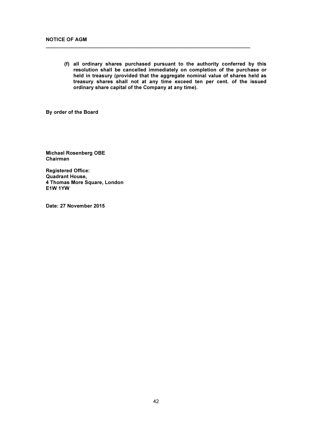(f) all ordinary shares purchased pursuant to the authority conferred by this resolution shall be cancelled immediately on completion of the purchase or held in treasury (provided that the aggregate nominal value of shares held as treasury shares shall not at any time exceed ten per cent. of the issued ordinary share capital of the Company at any time).

 $\overline{\phantom{a}}$  , and the contribution of the contribution of the contribution of the contribution of the contribution of the contribution of the contribution of the contribution of the contribution of the contribution of the

By order of the Board

Michael Rosenberg OBE Chairman

Registered Office: Quadrant House, 4 Thomas More Square, London E1W 1YW

Date: 27 November 2015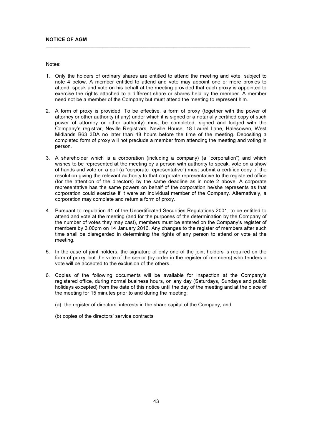Notes:

1. Only the holders of ordinary shares are entitled to attend the meeting and vote, subject to note 4 below. A member entitled to attend and vote may appoint one or more proxies to attend, speak and vote on his behalf at the meeting provided that each proxy is appointed to exercise the rights attached to a different share or shares held by the member. A member need not be a member of the Company but must attend the meeting to represent him.

 $\overline{\phantom{a}}$  , and the contribution of the contribution of the contribution of the contribution of the contribution of the contribution of the contribution of the contribution of the contribution of the contribution of the

- 2. A form of proxy is provided. To be effective, a form of proxy (together with the power of attorney or other authority (if any) under which it is signed or a notarially certified copy of such power of attorney or other authority) must be completed, signed and lodged with the Company's registrar, Neville Registrars, Neville House, 18 Laurel Lane, Halesowen, West Midlands B63 3DA no later than 48 hours before the time of the meeting. Depositing a completed form of proxy will not preclude a member from attending the meeting and voting in person.
- 3. A shareholder which is a corporation (including a company) (a "corporation") and which wishes to be represented at the meeting by a person with authority to speak, vote on a show of hands and vote on a poll (a "corporate representative") must submit a certified copy of the resolution giving the relevant authority to that corporate representative to the registered office (for the attention of the directors) by the same deadline as in note 2 above. A corporate representative has the same powers on behalf of the corporation he/she represents as that corporation could exercise if it were an individual member of the Company. Alternatively, a corporation may complete and return a form of proxy.
- 4. Pursuant to regulation 41 of the Uncertificated Securities Regulations 2001, to be entitled to attend and vote at the meeting (and for the purposes of the determination by the Company of the number of votes they may cast), members must be entered on the Company's register of members by 3.00pm on 14 January 2016. Any changes to the register of members after such time shall be disregarded in determining the rights of any person to attend or vote at the meeting.
- 5. In the case of joint holders, the signature of only one of the joint holders is required on the form of proxy, but the vote of the senior (by order in the register of members) who tenders a vote will be accepted to the exclusion of the others.
- 6. Copies of the following documents will be available for inspection at the Company's registered office, during normal business hours, on any day (Saturdays, Sundays and public holidays excepted) from the date of this notice until the day of the meeting and at the place of the meeting for 15 minutes prior to and during the meeting:
	- (a) the register of directors' interests in the share capital of the Company; and
	- (b) copies of the directors' service contracts